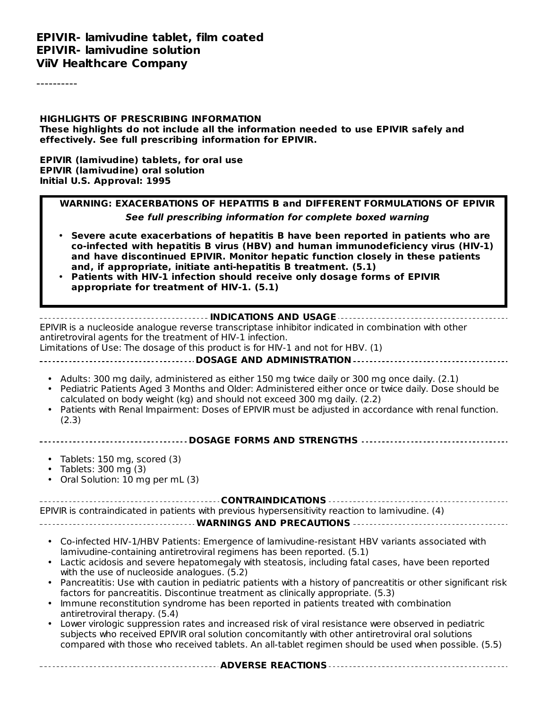**EPIVIR- lamivudine tablet, film coated EPIVIR- lamivudine solution ViiV Healthcare Company**

----------

**HIGHLIGHTS OF PRESCRIBING INFORMATION These highlights do not include all the information needed to use EPIVIR safely and effectively. See full prescribing information for EPIVIR.**

**EPIVIR (lamivudine) tablets, for oral use EPIVIR (lamivudine) oral solution Initial U.S. Approval: 1995**

| WARNING: EXACERBATIONS OF HEPATITIS B and DIFFERENT FORMULATIONS OF EPIVIR                                                                                                                                                                                                                                                                                                                                                                                         |  |  |  |
|--------------------------------------------------------------------------------------------------------------------------------------------------------------------------------------------------------------------------------------------------------------------------------------------------------------------------------------------------------------------------------------------------------------------------------------------------------------------|--|--|--|
| See full prescribing information for complete boxed warning                                                                                                                                                                                                                                                                                                                                                                                                        |  |  |  |
| Severe acute exacerbations of hepatitis B have been reported in patients who are<br>$\bullet$<br>co-infected with hepatitis B virus (HBV) and human immunodeficiency virus (HIV-1)<br>and have discontinued EPIVIR. Monitor hepatic function closely in these patients<br>and, if appropriate, initiate anti-hepatitis B treatment. (5.1)<br>Patients with HIV-1 infection should receive only dosage forms of EPIVIR<br>appropriate for treatment of HIV-1. (5.1) |  |  |  |
| INDICATIONS AND USAGE<br>EPIVIR is a nucleoside analogue reverse transcriptase inhibitor indicated in combination with other                                                                                                                                                                                                                                                                                                                                       |  |  |  |
| antiretroviral agents for the treatment of HIV-1 infection.<br>Limitations of Use: The dosage of this product is for HIV-1 and not for HBV. (1)<br>-----------------------------------DOSAGE AND ADMINISTRATION ---------------------------------                                                                                                                                                                                                                  |  |  |  |
|                                                                                                                                                                                                                                                                                                                                                                                                                                                                    |  |  |  |
| • Adults: 300 mg daily, administered as either 150 mg twice daily or 300 mg once daily. (2.1)<br>Pediatric Patients Aged 3 Months and Older: Administered either once or twice daily. Dose should be<br>$\bullet$<br>calculated on body weight (kg) and should not exceed 300 mg daily. (2.2)<br>Patients with Renal Impairment: Doses of EPIVIR must be adjusted in accordance with renal function.<br>(2.3)                                                      |  |  |  |
| ------------------------ DOSAGE FORMS AND STRENGTHS ----------------------------                                                                                                                                                                                                                                                                                                                                                                                   |  |  |  |
| Tablets: 150 mg, scored (3)<br>$\bullet$<br>Tablets: 300 mg (3)<br>Oral Solution: 10 mg per mL (3)                                                                                                                                                                                                                                                                                                                                                                 |  |  |  |
|                                                                                                                                                                                                                                                                                                                                                                                                                                                                    |  |  |  |
| EPIVIR is contraindicated in patients with previous hypersensitivity reaction to lamivudine. (4)                                                                                                                                                                                                                                                                                                                                                                   |  |  |  |
|                                                                                                                                                                                                                                                                                                                                                                                                                                                                    |  |  |  |
| • Co-infected HIV-1/HBV Patients: Emergence of lamivudine-resistant HBV variants associated with<br>lamivudine-containing antiretroviral regimens has been reported. (5.1)                                                                                                                                                                                                                                                                                         |  |  |  |
| Lactic acidosis and severe hepatomegaly with steatosis, including fatal cases, have been reported<br>with the use of nucleoside analogues. (5.2)                                                                                                                                                                                                                                                                                                                   |  |  |  |
| Pancreatitis: Use with caution in pediatric patients with a history of pancreatitis or other significant risk<br>$\bullet$<br>factors for pancreatitis. Discontinue treatment as clinically appropriate. (5.3)                                                                                                                                                                                                                                                     |  |  |  |
| Immune reconstitution syndrome has been reported in patients treated with combination                                                                                                                                                                                                                                                                                                                                                                              |  |  |  |

• Lower virologic suppression rates and increased risk of viral resistance were observed in pediatric antiretroviral therapy. (5.4) subjects who received EPIVIR oral solution concomitantly with other antiretroviral oral solutions compared with those who received tablets. An all-tablet regimen should be used when possible. (5.5)

**ADVERSE REACTIONS**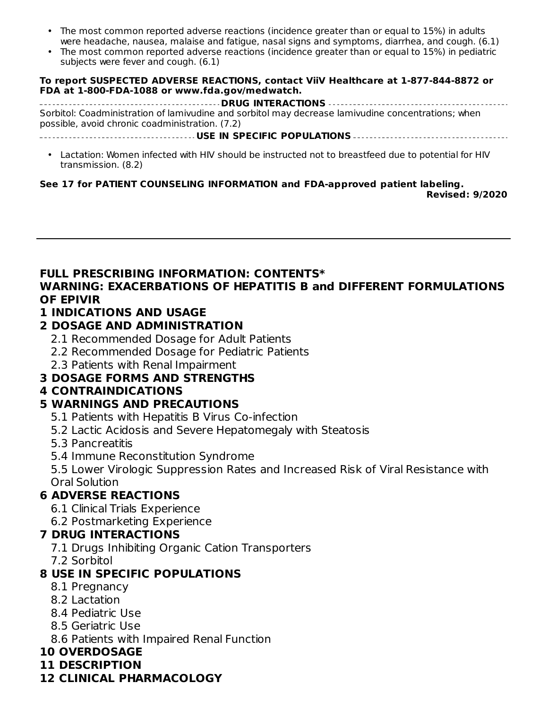- The most common reported adverse reactions (incidence greater than or equal to 15%) in adults were headache, nausea, malaise and fatigue, nasal signs and symptoms, diarrhea, and cough. (6.1)
- The most common reported adverse reactions (incidence greater than or equal to 15%) in pediatric subjects were fever and cough. (6.1)

#### **To report SUSPECTED ADVERSE REACTIONS, contact ViiV Healthcare at 1-877-844-8872 or FDA at 1-800-FDA-1088 or www.fda.gov/medwatch.**

**DRUG INTERACTIONS** Sorbitol: Coadministration of lamivudine and sorbitol may decrease lamivudine concentrations; when possible, avoid chronic coadministration. (7.2)

**USE IN SPECIFIC POPULATIONS**

• Lactation: Women infected with HIV should be instructed not to breastfeed due to potential for HIV transmission. (8.2)

#### **See 17 for PATIENT COUNSELING INFORMATION and FDA-approved patient labeling.**

**Revised: 9/2020**

#### **FULL PRESCRIBING INFORMATION: CONTENTS\* WARNING: EXACERBATIONS OF HEPATITIS B and DIFFERENT FORMULATIONS**

#### **OF EPIVIR**

#### **1 INDICATIONS AND USAGE**

#### **2 DOSAGE AND ADMINISTRATION**

- 2.1 Recommended Dosage for Adult Patients
- 2.2 Recommended Dosage for Pediatric Patients
- 2.3 Patients with Renal Impairment

## **3 DOSAGE FORMS AND STRENGTHS**

## **4 CONTRAINDICATIONS**

## **5 WARNINGS AND PRECAUTIONS**

- 5.1 Patients with Hepatitis B Virus Co-infection
- 5.2 Lactic Acidosis and Severe Hepatomegaly with Steatosis
- 5.3 Pancreatitis
- 5.4 Immune Reconstitution Syndrome

5.5 Lower Virologic Suppression Rates and Increased Risk of Viral Resistance with Oral Solution

## **6 ADVERSE REACTIONS**

- 6.1 Clinical Trials Experience
- 6.2 Postmarketing Experience

#### **7 DRUG INTERACTIONS**

- 7.1 Drugs Inhibiting Organic Cation Transporters
- 7.2 Sorbitol

## **8 USE IN SPECIFIC POPULATIONS**

- 8.1 Pregnancy
- 8.2 Lactation
- 8.4 Pediatric Use
- 8.5 Geriatric Use
- 8.6 Patients with Impaired Renal Function
- **10 OVERDOSAGE**
- **11 DESCRIPTION**

## **12 CLINICAL PHARMACOLOGY**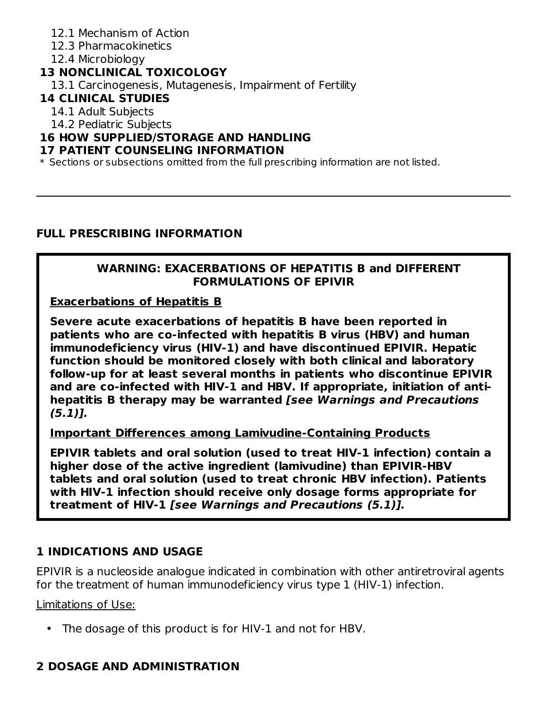- 12.1 Mechanism of Action
- 12.3 Pharmacokinetics
- 12.4 Microbiology

## **13 NONCLINICAL TOXICOLOGY**

13.1 Carcinogenesis, Mutagenesis, Impairment of Fertility

#### **14 CLINICAL STUDIES**

14.1 Adult Subjects

14.2 Pediatric Subjects

## **16 HOW SUPPLIED/STORAGE AND HANDLING**

#### **17 PATIENT COUNSELING INFORMATION**

\* Sections or subsections omitted from the full prescribing information are not listed.

#### **FULL PRESCRIBING INFORMATION**

#### **WARNING: EXACERBATIONS OF HEPATITIS B and DIFFERENT FORMULATIONS OF EPIVIR**

**Exacerbations of Hepatitis B**

**Severe acute exacerbations of hepatitis B have been reported in patients who are co-infected with hepatitis B virus (HBV) and human immunodeficiency virus (HIV-1) and have discontinued EPIVIR. Hepatic function should be monitored closely with both clinical and laboratory follow-up for at least several months in patients who discontinue EPIVIR and are co-infected with HIV-1 and HBV. If appropriate, initiation of antihepatitis B therapy may be warranted [see Warnings and Precautions (5.1)].**

**Important Differences among Lamivudine-Containing Products**

**EPIVIR tablets and oral solution (used to treat HIV-1 infection) contain a higher dose of the active ingredient (lamivudine) than EPIVIR-HBV tablets and oral solution (used to treat chronic HBV infection). Patients with HIV-1 infection should receive only dosage forms appropriate for treatment of HIV-1 [see Warnings and Precautions (5.1)].**

## **1 INDICATIONS AND USAGE**

EPIVIR is a nucleoside analogue indicated in combination with other antiretroviral agents for the treatment of human immunodeficiency virus type 1 (HIV-1) infection.

Limitations of Use:

• The dosage of this product is for HIV‑1 and not for HBV.

## **2 DOSAGE AND ADMINISTRATION**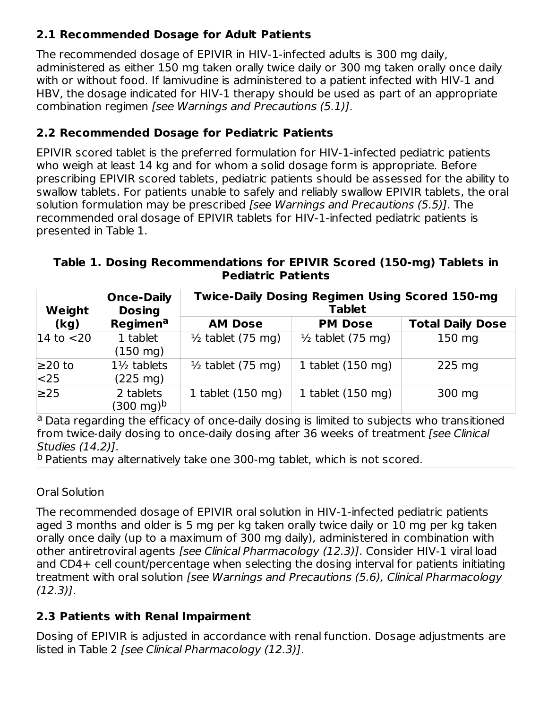## **2.1 Recommended Dosage for Adult Patients**

The recommended dosage of EPIVIR in HIV-1‑infected adults is 300 mg daily, administered as either 150 mg taken orally twice daily or 300 mg taken orally once daily with or without food. If lamivudine is administered to a patient infected with HIV-1 and HBV, the dosage indicated for HIV-1 therapy should be used as part of an appropriate combination regimen [see Warnings and Precautions (5.1)].

## **2.2 Recommended Dosage for Pediatric Patients**

EPIVIR scored tablet is the preferred formulation for HIV-1‑infected pediatric patients who weigh at least 14 kg and for whom a solid dosage form is appropriate. Before prescribing EPIVIR scored tablets, pediatric patients should be assessed for the ability to swallow tablets. For patients unable to safely and reliably swallow EPIVIR tablets, the oral solution formulation may be prescribed [see Warnings and Precautions (5.5)]. The recommended oral dosage of EPIVIR tablets for HIV-1‑infected pediatric patients is presented in Table 1.

**Table 1. Dosing Recommendations for EPIVIR Scored (150-mg) Tablets in Pediatric Patients**

| Weight              | <b>Once-Daily</b><br><b>Dosing</b>           | <b>Twice-Daily Dosing Regimen Using Scored 150-mg</b><br><b>Tablet</b> |                              |                         |
|---------------------|----------------------------------------------|------------------------------------------------------------------------|------------------------------|-------------------------|
| (kg)                | Regimena                                     | <b>AM Dose</b>                                                         | <b>PM Dose</b>               | <b>Total Daily Dose</b> |
| $14$ to $<$ 20      | 1 tablet<br>$(150 \text{ mg})$               | $\frac{1}{2}$ tablet (75 mg)                                           | $\frac{1}{2}$ tablet (75 mg) | 150 mg                  |
| $≥20$ to<br>$ <$ 25 | $1\frac{1}{2}$ tablets<br>$(225 \text{ mg})$ | $\frac{1}{2}$ tablet (75 mg)                                           | 1 tablet $(150 \text{ mg})$  | $225$ mg                |
| $\geq$ 25           | 2 tablets<br>(300 mg) <sup>b</sup>           | 1 tablet $(150 \text{ mg})$                                            | 1 tablet $(150 \text{ mg})$  | 300 mg                  |

<sup>a</sup> Data regarding the efficacy of once-daily dosing is limited to subjects who transitioned from twice-daily dosing to once-daily dosing after 36 weeks of treatment [see Clinical Studies (14.2)].

<sup>b</sup> Patients may alternatively take one 300-mg tablet, which is not scored.

## Oral Solution

The recommended dosage of EPIVIR oral solution in HIV-1‑infected pediatric patients aged 3 months and older is 5 mg per kg taken orally twice daily or 10 mg per kg taken orally once daily (up to a maximum of 300 mg daily), administered in combination with other antiretroviral agents [see Clinical Pharmacology (12.3)]. Consider HIV-1 viral load and CD4+ cell count/percentage when selecting the dosing interval for patients initiating treatment with oral solution [see Warnings and Precautions (5.6), Clinical Pharmacology (12.3)].

## **2.3 Patients with Renal Impairment**

Dosing of EPIVIR is adjusted in accordance with renal function. Dosage adjustments are listed in Table 2 [see Clinical Pharmacology (12.3)].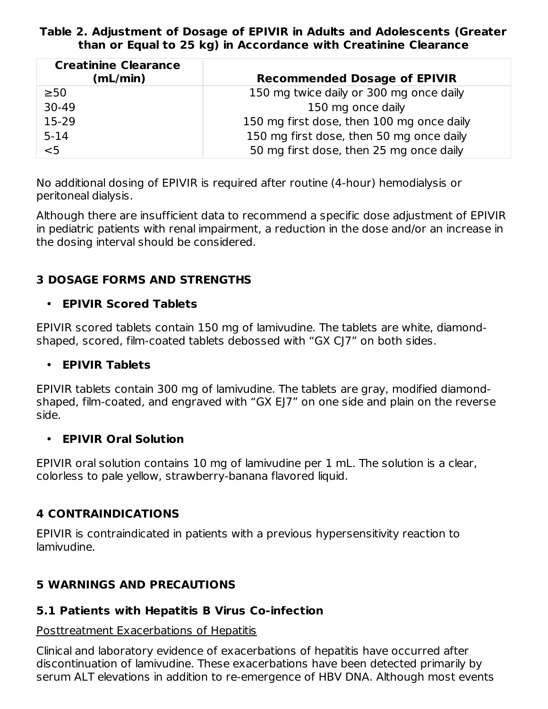#### **Table 2. Adjustment of Dosage of EPIVIR in Adults and Adolescents (Greater than or Equal to 25 kg) in Accordance with Creatinine Clearance**

| <b>Creatinine Clearance</b><br>(mL/min) | <b>Recommended Dosage of EPIVIR</b>       |
|-----------------------------------------|-------------------------------------------|
| $\geq 50$                               | 150 mg twice daily or 300 mg once daily   |
| 30-49                                   | 150 mg once daily                         |
| 15-29                                   | 150 mg first dose, then 100 mg once daily |
| $5 - 14$                                | 150 mg first dose, then 50 mg once daily  |
| $5$                                     | 50 mg first dose, then 25 mg once daily   |

No additional dosing of EPIVIR is required after routine (4-hour) hemodialysis or peritoneal dialysis.

Although there are insufficient data to recommend a specific dose adjustment of EPIVIR in pediatric patients with renal impairment, a reduction in the dose and/or an increase in the dosing interval should be considered.

## **3 DOSAGE FORMS AND STRENGTHS**

#### • **EPIVIR Scored Tablets**

EPIVIR scored tablets contain 150 mg of lamivudine. The tablets are white, diamondshaped, scored, film-coated tablets debossed with "GX CJ7" on both sides.

#### • **EPIVIR Tablets**

EPIVIR tablets contain 300 mg of lamivudine. The tablets are gray, modified diamondshaped, film-coated, and engraved with "GX EJ7" on one side and plain on the reverse side.

#### • **EPIVIR Oral Solution**

EPIVIR oral solution contains 10 mg of lamivudine per 1 mL. The solution is a clear, colorless to pale yellow, strawberry-banana flavored liquid.

## **4 CONTRAINDICATIONS**

EPIVIR is contraindicated in patients with a previous hypersensitivity reaction to lamivudine.

## **5 WARNINGS AND PRECAUTIONS**

## **5.1 Patients with Hepatitis B Virus Co-infection**

#### Posttreatment Exacerbations of Hepatitis

Clinical and laboratory evidence of exacerbations of hepatitis have occurred after discontinuation of lamivudine. These exacerbations have been detected primarily by serum ALT elevations in addition to re‑emergence of HBV DNA. Although most events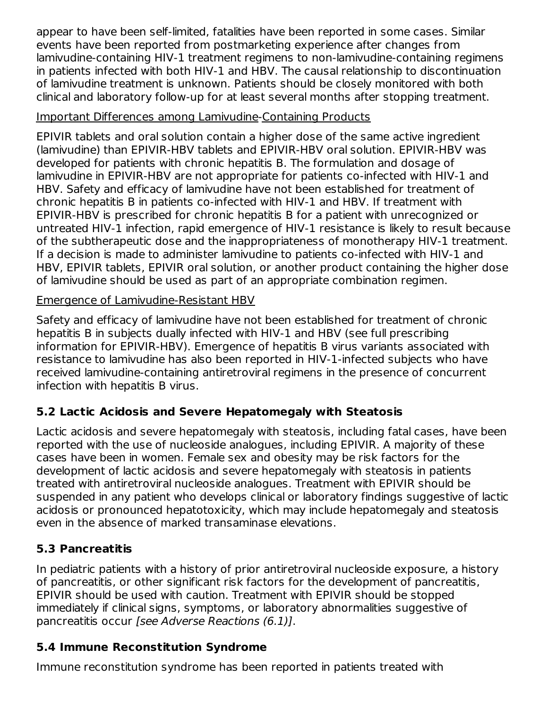appear to have been self‑limited, fatalities have been reported in some cases. Similar events have been reported from postmarketing experience after changes from lamivudine‑containing HIV‑1 treatment regimens to non‑lamivudine‑containing regimens in patients infected with both HIV‑1 and HBV. The causal relationship to discontinuation of lamivudine treatment is unknown. Patients should be closely monitored with both clinical and laboratory follow‑up for at least several months after stopping treatment.

#### Important Differences among Lamivudine‑Containing Products

EPIVIR tablets and oral solution contain a higher dose of the same active ingredient (lamivudine) than EPIVIR‑HBV tablets and EPIVIR‑HBV oral solution. EPIVIR‑HBV was developed for patients with chronic hepatitis B. The formulation and dosage of lamivudine in EPIVIR-HBV are not appropriate for patients co-infected with HIV-1 and HBV. Safety and efficacy of lamivudine have not been established for treatment of chronic hepatitis B in patients co‑infected with HIV‑1 and HBV. If treatment with EPIVIR‑HBV is prescribed for chronic hepatitis B for a patient with unrecognized or untreated HIV-1 infection, rapid emergence of HIV‑1 resistance is likely to result because of the subtherapeutic dose and the inappropriateness of monotherapy HIV‑1 treatment. If a decision is made to administer lamivudine to patients co‑infected with HIV‑1 and HBV, EPIVIR tablets, EPIVIR oral solution, or another product containing the higher dose of lamivudine should be used as part of an appropriate combination regimen.

#### Emergence of Lamivudine-Resistant HBV

Safety and efficacy of lamivudine have not been established for treatment of chronic hepatitis B in subjects dually infected with HIV-1 and HBV (see full prescribing information for EPIVIR-HBV). Emergence of hepatitis B virus variants associated with resistance to lamivudine has also been reported in HIV-1-infected subjects who have received lamivudine-containing antiretroviral regimens in the presence of concurrent infection with hepatitis B virus.

## **5.2 Lactic Acidosis and Severe Hepatomegaly with Steatosis**

Lactic acidosis and severe hepatomegaly with steatosis, including fatal cases, have been reported with the use of nucleoside analogues, including EPIVIR. A majority of these cases have been in women. Female sex and obesity may be risk factors for the development of lactic acidosis and severe hepatomegaly with steatosis in patients treated with antiretroviral nucleoside analogues. Treatment with EPIVIR should be suspended in any patient who develops clinical or laboratory findings suggestive of lactic acidosis or pronounced hepatotoxicity, which may include hepatomegaly and steatosis even in the absence of marked transaminase elevations.

## **5.3 Pancreatitis**

In pediatric patients with a history of prior antiretroviral nucleoside exposure, a history of pancreatitis, or other significant risk factors for the development of pancreatitis, EPIVIR should be used with caution. Treatment with EPIVIR should be stopped immediately if clinical signs, symptoms, or laboratory abnormalities suggestive of pancreatitis occur [see Adverse Reactions (6.1)].

## **5.4 Immune Reconstitution Syndrome**

Immune reconstitution syndrome has been reported in patients treated with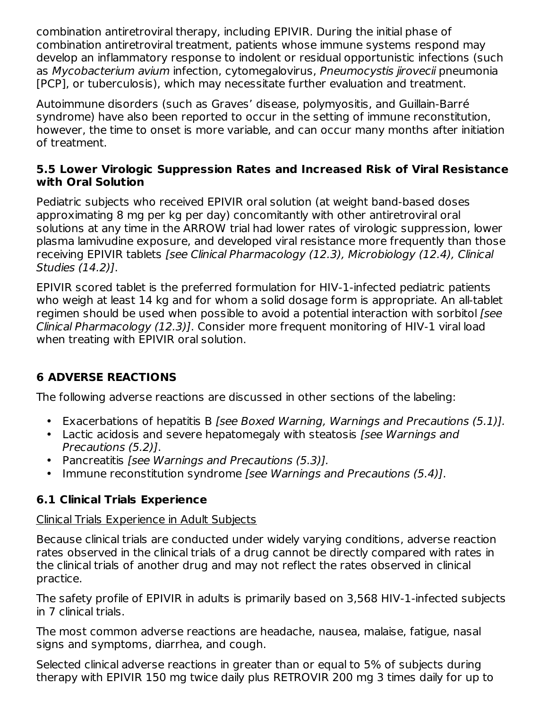combination antiretroviral therapy, including EPIVIR. During the initial phase of combination antiretroviral treatment, patients whose immune systems respond may develop an inflammatory response to indolent or residual opportunistic infections (such as Mycobacterium avium infection, cytomegalovirus, Pneumocystis jirovecii pneumonia [PCP], or tuberculosis), which may necessitate further evaluation and treatment.

Autoimmune disorders (such as Graves' disease, polymyositis, and Guillain-Barré syndrome) have also been reported to occur in the setting of immune reconstitution, however, the time to onset is more variable, and can occur many months after initiation of treatment.

#### **5.5 Lower Virologic Suppression Rates and Increased Risk of Viral Resistance with Oral Solution**

Pediatric subjects who received EPIVIR oral solution (at weight band-based doses approximating 8 mg per kg per day) concomitantly with other antiretroviral oral solutions at any time in the ARROW trial had lower rates of virologic suppression, lower plasma lamivudine exposure, and developed viral resistance more frequently than those receiving EPIVIR tablets [see Clinical Pharmacology (12.3), Microbiology (12.4), Clinical Studies (14.2)].

EPIVIR scored tablet is the preferred formulation for HIV-1‑infected pediatric patients who weigh at least 14 kg and for whom a solid dosage form is appropriate. An all-tablet regimen should be used when possible to avoid a potential interaction with sorbitol [see Clinical Pharmacology (12.3)]. Consider more frequent monitoring of HIV-1 viral load when treating with EPIVIR oral solution.

## **6 ADVERSE REACTIONS**

The following adverse reactions are discussed in other sections of the labeling:

- Exacerbations of hepatitis B [see Boxed Warning, Warnings and Precautions (5.1)].
- Lactic acidosis and severe hepatomegaly with steatosis [see Warnings and Precautions (5.2)].
- Pancreatitis [see Warnings and Precautions (5.3)].
- Immune reconstitution syndrome [see Warnings and Precautions (5.4)].

## **6.1 Clinical Trials Experience**

## Clinical Trials Experience in Adult Subjects

Because clinical trials are conducted under widely varying conditions, adverse reaction rates observed in the clinical trials of a drug cannot be directly compared with rates in the clinical trials of another drug and may not reflect the rates observed in clinical practice.

The safety profile of EPIVIR in adults is primarily based on 3,568 HIV-1‑infected subjects in 7 clinical trials.

The most common adverse reactions are headache, nausea, malaise, fatigue, nasal signs and symptoms, diarrhea, and cough.

Selected clinical adverse reactions in greater than or equal to 5% of subjects during therapy with EPIVIR 150 mg twice daily plus RETROVIR 200 mg 3 times daily for up to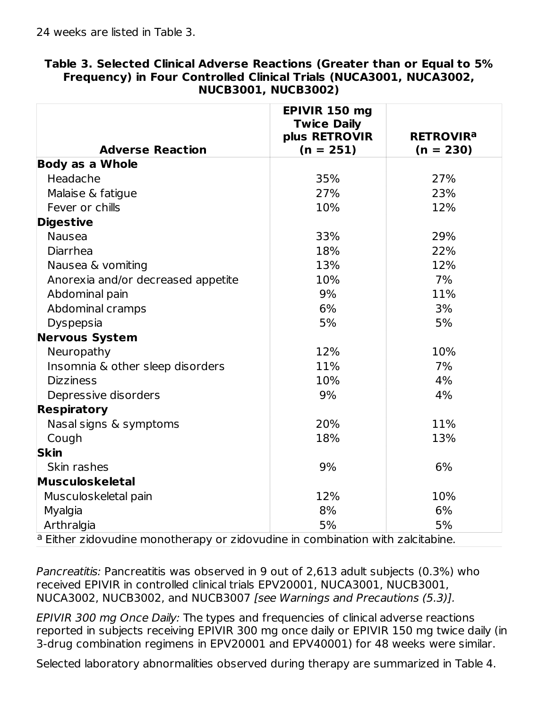|                                                                                | EPIVIR 150 mg<br><b>Twice Daily</b> |                             |  |
|--------------------------------------------------------------------------------|-------------------------------------|-----------------------------|--|
|                                                                                | plus RETROVIR                       | <b>RETROVIR<sup>a</sup></b> |  |
| <b>Adverse Reaction</b>                                                        | $(n = 251)$                         | $(n = 230)$                 |  |
| <b>Body as a Whole</b>                                                         |                                     |                             |  |
| Headache                                                                       | 35%                                 | 27%                         |  |
| Malaise & fatigue                                                              | 27%                                 | 23%                         |  |
| Fever or chills                                                                | 10%                                 | 12%                         |  |
| <b>Digestive</b>                                                               |                                     |                             |  |
| <b>Nausea</b>                                                                  | 33%                                 | 29%                         |  |
| Diarrhea                                                                       | 18%                                 | 22%                         |  |
| Nausea & vomiting                                                              | 13%                                 | 12%                         |  |
| Anorexia and/or decreased appetite                                             | 10%                                 | 7%                          |  |
| Abdominal pain                                                                 | 9%                                  | 11%                         |  |
| Abdominal cramps                                                               | 6%                                  | 3%                          |  |
| Dyspepsia                                                                      | 5%                                  | 5%                          |  |
| <b>Nervous System</b>                                                          |                                     |                             |  |
| Neuropathy                                                                     | 12%                                 | 10%                         |  |
| Insomnia & other sleep disorders                                               | 11%                                 | 7%                          |  |
| <b>Dizziness</b>                                                               | 10%                                 | 4%                          |  |
| Depressive disorders                                                           | 9%                                  | 4%                          |  |
| <b>Respiratory</b>                                                             |                                     |                             |  |
| Nasal signs & symptoms                                                         | 20%                                 | 11%                         |  |
| Cough                                                                          | 18%                                 | 13%                         |  |
| <b>Skin</b>                                                                    |                                     |                             |  |
| Skin rashes                                                                    | 9%                                  | 6%                          |  |
| Musculoskeletal                                                                |                                     |                             |  |
| Musculoskeletal pain                                                           | 12%                                 | 10%                         |  |
| Myalgia                                                                        | 8%                                  | 6%                          |  |
| Arthralgia                                                                     | 5%                                  | 5%                          |  |
| a Either zidovudine monotherapy or zidovudine in combination with zalcitabine. |                                     |                             |  |

#### **Table 3. Selected Clinical Adverse Reactions (Greater than or Equal to 5% Frequency) in Four Controlled Clinical Trials (NUCA3001, NUCA3002, NUCB3001, NUCB3002)**

Pancreatitis: Pancreatitis was observed in 9 out of 2,613 adult subjects (0.3%) who received EPIVIR in controlled clinical trials EPV20001, NUCA3001, NUCB3001, NUCA3002, NUCB3002, and NUCB3007 [see Warnings and Precautions (5.3)].

EPIVIR 300 mg Once Daily: The types and frequencies of clinical adverse reactions reported in subjects receiving EPIVIR 300 mg once daily or EPIVIR 150 mg twice daily (in 3-drug combination regimens in EPV20001 and EPV40001) for 48 weeks were similar.

Selected laboratory abnormalities observed during therapy are summarized in Table 4.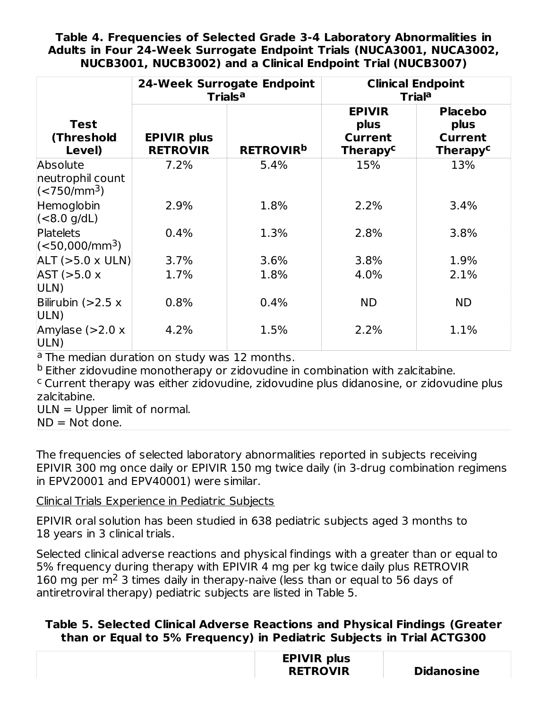#### **Table 4. Frequencies of Selected Grade 3-4 Laboratory Abnormalities in Adults in Four 24-Week Surrogate Endpoint Trials (NUCA3001, NUCA3002, NUCB3001, NUCB3002) and a Clinical Endpoint Trial (NUCB3007)**

|                                                    | <b>24-Week Surrogate Endpoint</b><br><b>Trials<sup>a</sup></b> |                             | <b>Clinical Endpoint</b><br><b>Triala</b>                             |                                                                        |
|----------------------------------------------------|----------------------------------------------------------------|-----------------------------|-----------------------------------------------------------------------|------------------------------------------------------------------------|
| <b>Test</b><br>(Threshold<br>Level)                | <b>EPIVIR</b> plus<br><b>RETROVIR</b>                          | <b>RETROVIR<sup>b</sup></b> | <b>EPIVIR</b><br>plus<br><b>Current</b><br><b>Therapy<sup>c</sup></b> | <b>Placebo</b><br>plus<br><b>Current</b><br><b>Therapy<sup>c</sup></b> |
| Absolute<br>neutrophil count<br>$\sqrt{(550/m^3)}$ | 7.2%                                                           | 5.4%                        | 15%                                                                   | 13%                                                                    |
| Hemoglobin<br>$(<8.0$ g/dL)                        | 2.9%                                                           | 1.8%                        | 2.2%                                                                  | 3.4%                                                                   |
| Platelets<br>$\sim$ (<50,000/mm <sup>3</sup> )     | 0.4%                                                           | 1.3%                        | 2.8%                                                                  | 3.8%                                                                   |
| $ ALT (> 5.0 \times ULN) $                         | 3.7%                                                           | 3.6%                        | 3.8%                                                                  | 1.9%                                                                   |
| AST (>5.0 x<br>ULN)                                | 1.7%                                                           | 1.8%                        | 4.0%                                                                  | 2.1%                                                                   |
| Bilirubin $(>2.5 x)$<br>ULN)                       | 0.8%                                                           | 0.4%                        | <b>ND</b>                                                             | <b>ND</b>                                                              |
| Amylase $(>2.0 x$<br>ULN)                          | 4.2%                                                           | 1.5%                        | 2.2%                                                                  | 1.1%                                                                   |

<sup>a</sup> The median duration on study was 12 months.

<sup>b</sup> Either zidovudine monotherapy or zidovudine in combination with zalcitabine.

<sup>c</sup> Current therapy was either zidovudine, zidovudine plus didanosine, or zidovudine plus zalcitabine.

ULN = Upper limit of normal.

 $ND = Not done.$ 

The frequencies of selected laboratory abnormalities reported in subjects receiving EPIVIR 300 mg once daily or EPIVIR 150 mg twice daily (in 3-drug combination regimens in EPV20001 and EPV40001) were similar.

Clinical Trials Experience in Pediatric Subjects

EPIVIR oral solution has been studied in 638 pediatric subjects aged 3 months to 18 years in 3 clinical trials.

Selected clinical adverse reactions and physical findings with a greater than or equal to 5% frequency during therapy with EPIVIR 4 mg per kg twice daily plus RETROVIR 160 mg per  $m<sup>2</sup>$  3 times daily in therapy-naive (less than or equal to 56 days of antiretroviral therapy) pediatric subjects are listed in Table 5.

## **Table 5. Selected Clinical Adverse Reactions and Physical Findings (Greater than or Equal to 5% Frequency) in Pediatric Subjects in Trial ACTG300**

| <b>EPIVIR plus</b> |  |
|--------------------|--|
| <b>RETROVIR</b>    |  |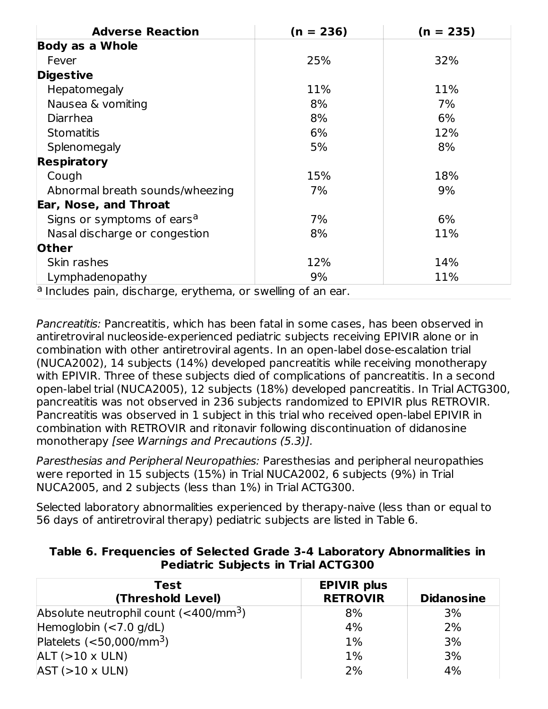| <b>Adverse Reaction</b>                                      | $(n = 236)$ | $(n = 235)$ |  |  |
|--------------------------------------------------------------|-------------|-------------|--|--|
| <b>Body as a Whole</b>                                       |             |             |  |  |
| Fever                                                        | 25%         | 32%         |  |  |
| <b>Digestive</b>                                             |             |             |  |  |
| Hepatomegaly                                                 | 11%         | 11%         |  |  |
| Nausea & vomiting                                            | 8%          | 7%          |  |  |
| <b>Diarrhea</b>                                              | 8%          | 6%          |  |  |
| <b>Stomatitis</b>                                            | 6%          | 12%         |  |  |
| Splenomegaly                                                 | 5%          | 8%          |  |  |
| <b>Respiratory</b>                                           |             |             |  |  |
| Cough                                                        | 15%         | 18%         |  |  |
| Abnormal breath sounds/wheezing                              | 7%          | 9%          |  |  |
| <b>Ear, Nose, and Throat</b>                                 |             |             |  |  |
| Signs or symptoms of ears <sup>a</sup>                       | 7%          | 6%          |  |  |
| Nasal discharge or congestion                                | 8%          | 11%         |  |  |
| <b>Other</b>                                                 |             |             |  |  |
| Skin rashes                                                  | 12%         | 14%         |  |  |
| Lymphadenopathy                                              | 9%          | 11%         |  |  |
| a Includes pain, discharge, erythema, or swelling of an ear. |             |             |  |  |

Pancreatitis: Pancreatitis, which has been fatal in some cases, has been observed in antiretroviral nucleoside‑experienced pediatric subjects receiving EPIVIR alone or in combination with other antiretroviral agents. In an open‑label dose‑escalation trial (NUCA2002), 14 subjects (14%) developed pancreatitis while receiving monotherapy with EPIVIR. Three of these subjects died of complications of pancreatitis. In a second open‑label trial (NUCA2005), 12 subjects (18%) developed pancreatitis. In Trial ACTG300, pancreatitis was not observed in 236 subjects randomized to EPIVIR plus RETROVIR. Pancreatitis was observed in 1 subject in this trial who received open‑label EPIVIR in combination with RETROVIR and ritonavir following discontinuation of didanosine monotherapy [see Warnings and Precautions (5.3)].

Paresthesias and Peripheral Neuropathies: Paresthesias and peripheral neuropathies were reported in 15 subjects (15%) in Trial NUCA2002, 6 subjects (9%) in Trial NUCA2005, and 2 subjects (less than 1%) in Trial ACTG300.

Selected laboratory abnormalities experienced by therapy-naive (less than or equal to 56 days of antiretroviral therapy) pediatric subjects are listed in Table 6.

| Table 6. Frequencies of Selected Grade 3-4 Laboratory Abnormalities in |
|------------------------------------------------------------------------|
| <b>Pediatric Subjects in Trial ACTG300</b>                             |

| Test<br>(Threshold Level)                            | <b>EPIVIR plus</b><br><b>RETROVIR</b> | <b>Didanosine</b> |
|------------------------------------------------------|---------------------------------------|-------------------|
| Absolute neutrophil count $(<$ 400/mm <sup>3</sup> ) | 8%                                    | 3%                |
| Hemoglobin $(< 7.0$ g/dL)                            | 4%                                    | 2%                |
| Platelets $(<$ 50,000/mm <sup>3</sup> )              | 1%                                    | 3%                |
| $ALT (>10 \times ULN)$                               | 1%                                    | 3%                |
| $AST (>10 \times ULN)$                               | 2%                                    | 4%                |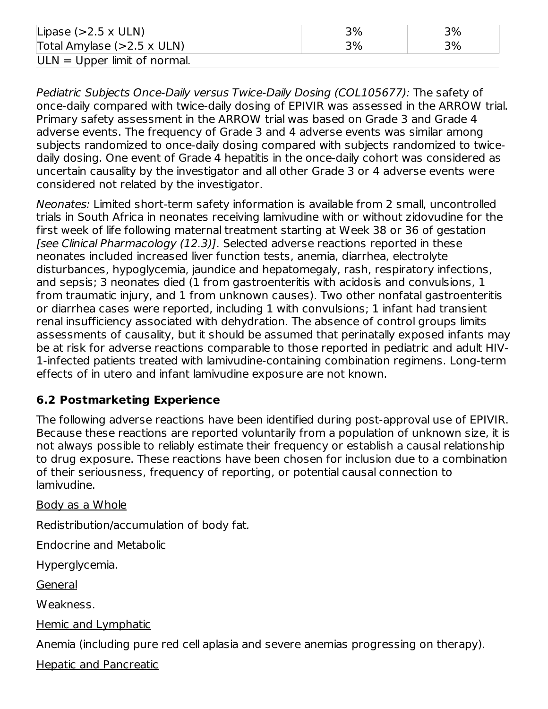| Lipase $(>2.5 \times ULN)$     | 3% | 3% |
|--------------------------------|----|----|
| Total Amylase (>2.5 x ULN)     | 3% | 3% |
| $ULN = Upper$ limit of normal. |    |    |

Pediatric Subjects Once-Daily versus Twice-Daily Dosing (COL105677): The safety of once-daily compared with twice-daily dosing of EPIVIR was assessed in the ARROW trial. Primary safety assessment in the ARROW trial was based on Grade 3 and Grade 4 adverse events. The frequency of Grade 3 and 4 adverse events was similar among subjects randomized to once-daily dosing compared with subjects randomized to twicedaily dosing. One event of Grade 4 hepatitis in the once-daily cohort was considered as uncertain causality by the investigator and all other Grade 3 or 4 adverse events were considered not related by the investigator.

Neonates: Limited short-term safety information is available from 2 small, uncontrolled trials in South Africa in neonates receiving lamivudine with or without zidovudine for the first week of life following maternal treatment starting at Week 38 or 36 of gestation [see Clinical Pharmacology (12.3)]. Selected adverse reactions reported in these neonates included increased liver function tests, anemia, diarrhea, electrolyte disturbances, hypoglycemia, jaundice and hepatomegaly, rash, respiratory infections, and sepsis; 3 neonates died (1 from gastroenteritis with acidosis and convulsions, 1 from traumatic injury, and 1 from unknown causes). Two other nonfatal gastroenteritis or diarrhea cases were reported, including 1 with convulsions; 1 infant had transient renal insufficiency associated with dehydration. The absence of control groups limits assessments of causality, but it should be assumed that perinatally exposed infants may be at risk for adverse reactions comparable to those reported in pediatric and adult HIV-1‑infected patients treated with lamivudine-containing combination regimens. Long-term effects of in utero and infant lamivudine exposure are not known.

## **6.2 Postmarketing Experience**

The following adverse reactions have been identified during post-approval use of EPIVIR. Because these reactions are reported voluntarily from a population of unknown size, it is not always possible to reliably estimate their frequency or establish a causal relationship to drug exposure. These reactions have been chosen for inclusion due to a combination of their seriousness, frequency of reporting, or potential causal connection to lamivudine.

Body as a Whole

Redistribution/accumulation of body fat.

Endocrine and Metabolic

Hyperglycemia.

General

Weakness.

Hemic and Lymphatic

Anemia (including pure red cell aplasia and severe anemias progressing on therapy).

Hepatic and Pancreatic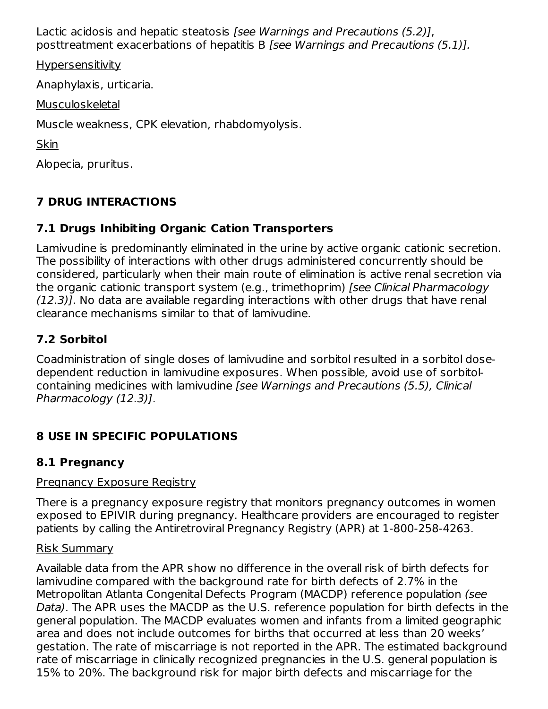Lactic acidosis and hepatic steatosis [see Warnings and Precautions (5.2)], posttreatment exacerbations of hepatitis B [see Warnings and Precautions (5.1)].

Hypersensitivity

Anaphylaxis, urticaria.

Musculoskeletal

Muscle weakness, CPK elevation, rhabdomyolysis.

**Skin** 

Alopecia, pruritus.

## **7 DRUG INTERACTIONS**

## **7.1 Drugs Inhibiting Organic Cation Transporters**

Lamivudine is predominantly eliminated in the urine by active organic cationic secretion. The possibility of interactions with other drugs administered concurrently should be considered, particularly when their main route of elimination is active renal secretion via the organic cationic transport system (e.g., trimethoprim) [see Clinical Pharmacology (12.3)]. No data are available regarding interactions with other drugs that have renal clearance mechanisms similar to that of lamivudine.

## **7.2 Sorbitol**

Coadministration of single doses of lamivudine and sorbitol resulted in a sorbitol dosedependent reduction in lamivudine exposures. When possible, avoid use of sorbitolcontaining medicines with lamivudine [see Warnings and Precautions (5.5), Clinical Pharmacology (12.3)].

## **8 USE IN SPECIFIC POPULATIONS**

## **8.1 Pregnancy**

## Pregnancy Exposure Registry

There is a pregnancy exposure registry that monitors pregnancy outcomes in women exposed to EPIVIR during pregnancy. Healthcare providers are encouraged to register patients by calling the Antiretroviral Pregnancy Registry (APR) at 1-800-258-4263.

## Risk Summary

Available data from the APR show no difference in the overall risk of birth defects for lamivudine compared with the background rate for birth defects of 2.7% in the Metropolitan Atlanta Congenital Defects Program (MACDP) reference population (see Data). The APR uses the MACDP as the U.S. reference population for birth defects in the general population. The MACDP evaluates women and infants from a limited geographic area and does not include outcomes for births that occurred at less than 20 weeks' gestation. The rate of miscarriage is not reported in the APR. The estimated background rate of miscarriage in clinically recognized pregnancies in the U.S. general population is 15% to 20%. The background risk for major birth defects and miscarriage for the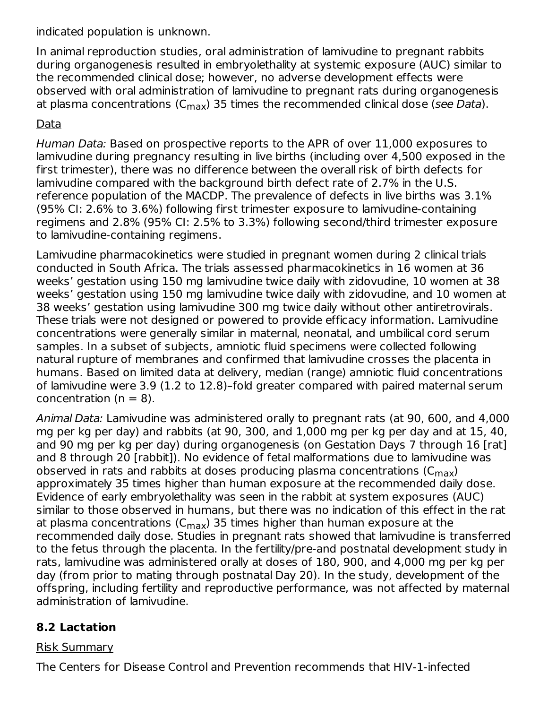indicated population is unknown.

In animal reproduction studies, oral administration of lamivudine to pregnant rabbits during organogenesis resulted in embryolethality at systemic exposure (AUC) similar to the recommended clinical dose; however, no adverse development effects were observed with oral administration of lamivudine to pregnant rats during organogenesis at plasma concentrations (C<sub>max</sub>) 35 times the recommended clinical dose (*see Data*).

## Data

Human Data: Based on prospective reports to the APR of over 11,000 exposures to lamivudine during pregnancy resulting in live births (including over 4,500 exposed in the first trimester), there was no difference between the overall risk of birth defects for lamivudine compared with the background birth defect rate of 2.7% in the U.S. reference population of the MACDP. The prevalence of defects in live births was 3.1% (95% CI: 2.6% to 3.6%) following first trimester exposure to lamivudine-containing regimens and 2.8% (95% CI: 2.5% to 3.3%) following second/third trimester exposure to lamivudine-containing regimens.

Lamivudine pharmacokinetics were studied in pregnant women during 2 clinical trials conducted in South Africa. The trials assessed pharmacokinetics in 16 women at 36 weeks' gestation using 150 mg lamivudine twice daily with zidovudine, 10 women at 38 weeks' gestation using 150 mg lamivudine twice daily with zidovudine, and 10 women at 38 weeks' gestation using lamivudine 300 mg twice daily without other antiretrovirals. These trials were not designed or powered to provide efficacy information. Lamivudine concentrations were generally similar in maternal, neonatal, and umbilical cord serum samples. In a subset of subjects, amniotic fluid specimens were collected following natural rupture of membranes and confirmed that lamivudine crosses the placenta in humans. Based on limited data at delivery, median (range) amniotic fluid concentrations of lamivudine were 3.9 (1.2 to 12.8)–fold greater compared with paired maternal serum concentration ( $n = 8$ ).

Animal Data: Lamivudine was administered orally to pregnant rats (at 90, 600, and 4,000 mg per kg per day) and rabbits (at 90, 300, and 1,000 mg per kg per day and at 15, 40, and 90 mg per kg per day) during organogenesis (on Gestation Days 7 through 16 [rat] and 8 through 20 [rabbit]). No evidence of fetal malformations due to lamivudine was observed in rats and rabbits at doses producing plasma concentrations ( $\mathsf{C}_{\mathsf{max}}$ ) approximately 35 times higher than human exposure at the recommended daily dose. Evidence of early embryolethality was seen in the rabbit at system exposures (AUC) similar to those observed in humans, but there was no indication of this effect in the rat at plasma concentrations (C $_{\sf max}$ ) 35 times higher than human exposure at the recommended daily dose. Studies in pregnant rats showed that lamivudine is transferred to the fetus through the placenta. In the fertility/pre-and postnatal development study in rats, lamivudine was administered orally at doses of 180, 900, and 4,000 mg per kg per day (from prior to mating through postnatal Day 20). In the study, development of the offspring, including fertility and reproductive performance, was not affected by maternal administration of lamivudine.

## **8.2 Lactation**

#### Risk Summary

The Centers for Disease Control and Prevention recommends that HIV-1‑infected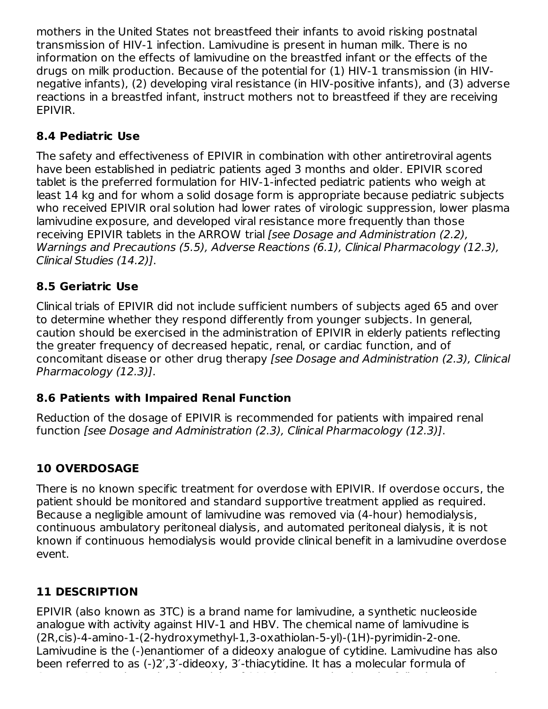mothers in the United States not breastfeed their infants to avoid risking postnatal transmission of HIV-1 infection. Lamivudine is present in human milk. There is no information on the effects of lamivudine on the breastfed infant or the effects of the drugs on milk production. Because of the potential for (1) HIV-1 transmission (in HIVnegative infants), (2) developing viral resistance (in HIV-positive infants), and (3) adverse reactions in a breastfed infant, instruct mothers not to breastfeed if they are receiving EPIVIR.

## **8.4 Pediatric Use**

The safety and effectiveness of EPIVIR in combination with other antiretroviral agents have been established in pediatric patients aged 3 months and older. EPIVIR scored tablet is the preferred formulation for HIV-1‑infected pediatric patients who weigh at least 14 kg and for whom a solid dosage form is appropriate because pediatric subjects who received EPIVIR oral solution had lower rates of virologic suppression, lower plasma lamivudine exposure, and developed viral resistance more frequently than those receiving EPIVIR tablets in the ARROW trial [see Dosage and Administration (2.2), Warnings and Precautions (5.5), Adverse Reactions (6.1), Clinical Pharmacology (12.3), Clinical Studies (14.2)].

## **8.5 Geriatric Use**

Clinical trials of EPIVIR did not include sufficient numbers of subjects aged 65 and over to determine whether they respond differently from younger subjects. In general, caution should be exercised in the administration of EPIVIR in elderly patients reflecting the greater frequency of decreased hepatic, renal, or cardiac function, and of concomitant disease or other drug therapy [see Dosage and Administration (2.3), Clinical Pharmacology (12.3)].

## **8.6 Patients with Impaired Renal Function**

Reduction of the dosage of EPIVIR is recommended for patients with impaired renal function [see Dosage and Administration (2.3), Clinical Pharmacology (12.3)].

## **10 OVERDOSAGE**

There is no known specific treatment for overdose with EPIVIR. If overdose occurs, the patient should be monitored and standard supportive treatment applied as required. Because a negligible amount of lamivudine was removed via (4-hour) hemodialysis, continuous ambulatory peritoneal dialysis, and automated peritoneal dialysis, it is not known if continuous hemodialysis would provide clinical benefit in a lamivudine overdose event.

## **11 DESCRIPTION**

EPIVIR (also known as 3TC) is a brand name for lamivudine, a synthetic nucleoside analogue with activity against HIV-1 and HBV. The chemical name of lamivudine is (2R,cis)-4-amino-1-(2-hydroxymethyl-1,3-oxathiolan-5-yl)-(1H)-pyrimidin-2-one. Lamivudine is the (-)enantiomer of a dideoxy analogue of cytidine. Lamivudine has also been referred to as (-)2′,3′-dideoxy, 3′-thiacytidine. It has a molecular formula of C H N O S and a molecular weight of 229.3 g per molecular weight of 229.3 g per molecular weight of 229.3 g pe<br>The following structural weight of 229.3 g per molecular weight of 229.3 g per molecular weight of 239.3 g per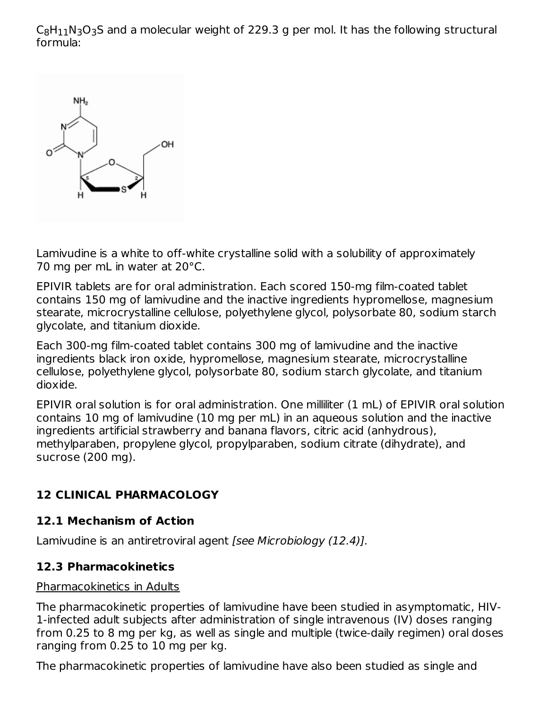$\mathsf{C}_8\mathsf{H}_{11}\mathsf{N}_3\mathsf{O}_3$ S and a molecular weight of 229.3 g per mol. It has the following structural formula:



Lamivudine is a white to off-white crystalline solid with a solubility of approximately 70 mg per mL in water at 20°C.

EPIVIR tablets are for oral administration. Each scored 150-mg film-coated tablet contains 150 mg of lamivudine and the inactive ingredients hypromellose, magnesium stearate, microcrystalline cellulose, polyethylene glycol, polysorbate 80, sodium starch glycolate, and titanium dioxide.

Each 300-mg film-coated tablet contains 300 mg of lamivudine and the inactive ingredients black iron oxide, hypromellose, magnesium stearate, microcrystalline cellulose, polyethylene glycol, polysorbate 80, sodium starch glycolate, and titanium dioxide.

EPIVIR oral solution is for oral administration. One milliliter (1 mL) of EPIVIR oral solution contains 10 mg of lamivudine (10 mg per mL) in an aqueous solution and the inactive ingredients artificial strawberry and banana flavors, citric acid (anhydrous), methylparaben, propylene glycol, propylparaben, sodium citrate (dihydrate), and sucrose (200 mg).

## **12 CLINICAL PHARMACOLOGY**

## **12.1 Mechanism of Action**

Lamivudine is an antiretroviral agent [see Microbiology (12.4)].

## **12.3 Pharmacokinetics**

#### Pharmacokinetics in Adults

The pharmacokinetic properties of lamivudine have been studied in asymptomatic, HIV-1‑infected adult subjects after administration of single intravenous (IV) doses ranging from 0.25 to 8 mg per kg, as well as single and multiple (twice-daily regimen) oral doses ranging from 0.25 to 10 mg per kg.

The pharmacokinetic properties of lamivudine have also been studied as single and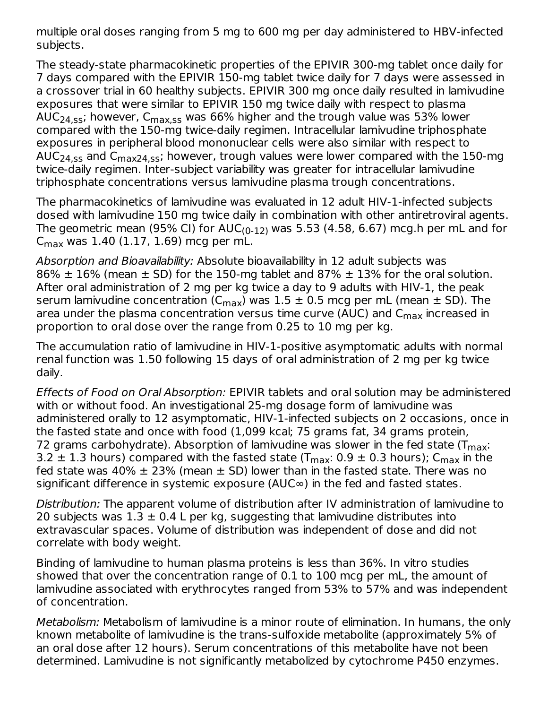multiple oral doses ranging from 5 mg to 600 mg per day administered to HBV-infected subjects.

The steady-state pharmacokinetic properties of the EPIVIR 300-mg tablet once daily for 7 days compared with the EPIVIR 150-mg tablet twice daily for 7 days were assessed in a crossover trial in 60 healthy subjects. EPIVIR 300 mg once daily resulted in lamivudine exposures that were similar to EPIVIR 150 mg twice daily with respect to plasma AUC<sub>24,ss</sub>; however, C<sub>max,ss</sub> was 66% higher and the trough value was 53% lower compared with the 150-mg twice-daily regimen. Intracellular lamivudine triphosphate exposures in peripheral blood mononuclear cells were also similar with respect to AUC<sub>24,ss</sub> and C<sub>max24,ss</sub>; however, trough values were lower compared with the 150-mg twice-daily regimen. Inter-subject variability was greater for intracellular lamivudine triphosphate concentrations versus lamivudine plasma trough concentrations.

The pharmacokinetics of lamivudine was evaluated in 12 adult HIV-1‑infected subjects dosed with lamivudine 150 mg twice daily in combination with other antiretroviral agents. The geometric mean (95% CI) for AUC $_{(0\text{-}12)}$  was 5.53 (4.58, 6.67) mcg.h per mL and for C<sub>max</sub> was 1.40 (1.17, 1.69) mcg per mL.

Absorption and Bioavailability: Absolute bioavailability in 12 adult subjects was 86%  $\pm$  16% (mean  $\pm$  SD) for the 150-mg tablet and 87%  $\pm$  13% for the oral solution. After oral administration of 2 mg per kg twice a day to 9 adults with HIV-1, the peak serum lamivudine concentration (C<sub>max</sub>) was  $1.5\pm 0.5$  mcg per mL (mean  $\pm$  SD). The area under the plasma concentration versus time curve (AUC) and C<sub>max</sub> increased in proportion to oral dose over the range from 0.25 to 10 mg per kg.

The accumulation ratio of lamivudine in HIV-1-positive asymptomatic adults with normal renal function was 1.50 following 15 days of oral administration of 2 mg per kg twice daily.

Effects of Food on Oral Absorption: EPIVIR tablets and oral solution may be administered with or without food. An investigational 25-mg dosage form of lamivudine was administered orally to 12 asymptomatic, HIV-1‑infected subjects on 2 occasions, once in the fasted state and once with food (1,099 kcal; 75 grams fat, 34 grams protein, 72 grams carbohydrate). Absorption of lamivudine was slower in the fed state (T $_{\sf max}$ : 3.2  $\pm$  1.3 hours) compared with the fasted state (T $_{\sf max:}$  0.9  $\pm$  0.3 hours); C $_{\sf max}$  in the fed state was 40%  $\pm$  23% (mean  $\pm$  SD) lower than in the fasted state. There was no significant difference in systemic exposure (AUC∞) in the fed and fasted states.

Distribution: The apparent volume of distribution after IV administration of lamivudine to 20 subjects was  $1.3 \pm 0.4$  L per kg, suggesting that lamivudine distributes into extravascular spaces. Volume of distribution was independent of dose and did not correlate with body weight.

Binding of lamivudine to human plasma proteins is less than 36%. In vitro studies showed that over the concentration range of 0.1 to 100 mcg per mL, the amount of lamivudine associated with erythrocytes ranged from 53% to 57% and was independent of concentration.

Metabolism: Metabolism of lamivudine is a minor route of elimination. In humans, the only known metabolite of lamivudine is the trans-sulfoxide metabolite (approximately 5% of an oral dose after 12 hours). Serum concentrations of this metabolite have not been determined. Lamivudine is not significantly metabolized by cytochrome P450 enzymes.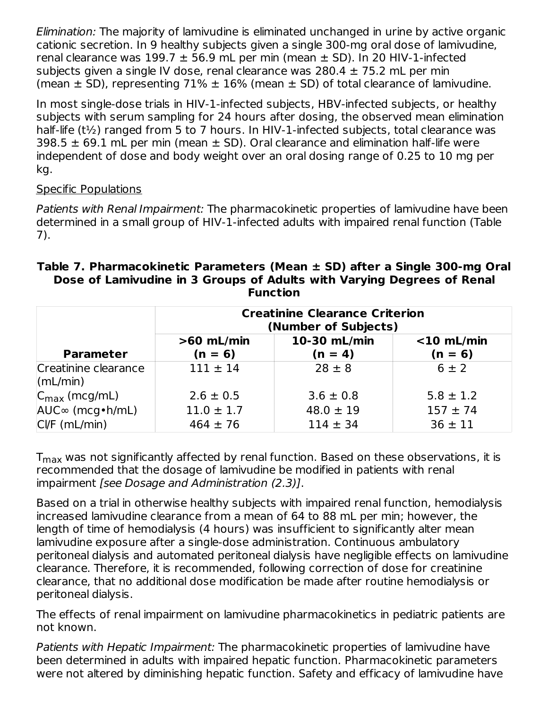Elimination: The majority of lamivudine is eliminated unchanged in urine by active organic cationic secretion. In 9 healthy subjects given a single 300-mg oral dose of lamivudine, renal clearance was  $199.7 \pm 56.9$  mL per min (mean  $\pm$  SD). In 20 HIV-1-infected subjects given a single IV dose, renal clearance was  $280.4 \pm 75.2$  mL per min (mean  $\pm$  SD), representing 71%  $\pm$  16% (mean  $\pm$  SD) of total clearance of lamivudine.

In most single-dose trials in HIV-1-infected subjects, HBV-infected subjects, or healthy subjects with serum sampling for 24 hours after dosing, the observed mean elimination half-life (t<sup>1</sup>/<sub>2</sub>) ranged from 5 to 7 hours. In HIV-1-infected subjects, total clearance was 398.5  $\pm$  69.1 mL per min (mean  $\pm$  SD). Oral clearance and elimination half-life were independent of dose and body weight over an oral dosing range of 0.25 to 10 mg per kg.

#### Specific Populations

Patients with Renal Impairment: The pharmacokinetic properties of lamivudine have been determined in a small group of HIV-1‑infected adults with impaired renal function (Table 7).

| Table 7. Pharmacokinetic Parameters (Mean $\pm$ SD) after a Single 300-mg Oral |
|--------------------------------------------------------------------------------|
| Dose of Lamivudine in 3 Groups of Adults with Varying Degrees of Renal         |
| <b>Function</b>                                                                |

| <b>Creatinine Clearance Criterion</b><br>(Number of Subjects) |                           |                           |                            |
|---------------------------------------------------------------|---------------------------|---------------------------|----------------------------|
| <b>Parameter</b>                                              | $>60$ mL/min<br>$(n = 6)$ | 10-30 mL/min<br>$(n = 4)$ | $<$ 10 mL/min<br>$(n = 6)$ |
| Creatinine clearance<br>$\vert$ (mL/min)                      | $111 \pm 14$              | $28 \pm 8$                | $6 \pm 2$                  |
| $C_{\text{max}}$ (mcg/mL)                                     | $2.6 \pm 0.5$             | $3.6 \pm 0.8$             | $5.8 \pm 1.2$              |
| $AUC^{\infty}$ (mcg • h/mL)                                   | $11.0 \pm 1.7$            | $48.0 \pm 19$             | $157 \pm 74$               |
| $CVF$ (mL/min)                                                | $464 \pm 76$              | $114 \pm 34$              | $36 \pm 11$                |

 ${\mathsf T}_{\mathsf{max}}$  was not significantly affected by renal function. Based on these observations, it is recommended that the dosage of lamivudine be modified in patients with renal impairment [see Dosage and Administration (2.3)].

Based on a trial in otherwise healthy subjects with impaired renal function, hemodialysis increased lamivudine clearance from a mean of 64 to 88 mL per min; however, the length of time of hemodialysis (4 hours) was insufficient to significantly alter mean lamivudine exposure after a single-dose administration. Continuous ambulatory peritoneal dialysis and automated peritoneal dialysis have negligible effects on lamivudine clearance. Therefore, it is recommended, following correction of dose for creatinine clearance, that no additional dose modification be made after routine hemodialysis or peritoneal dialysis.

The effects of renal impairment on lamivudine pharmacokinetics in pediatric patients are not known.

Patients with Hepatic Impairment: The pharmacokinetic properties of lamivudine have been determined in adults with impaired hepatic function. Pharmacokinetic parameters were not altered by diminishing hepatic function. Safety and efficacy of lamivudine have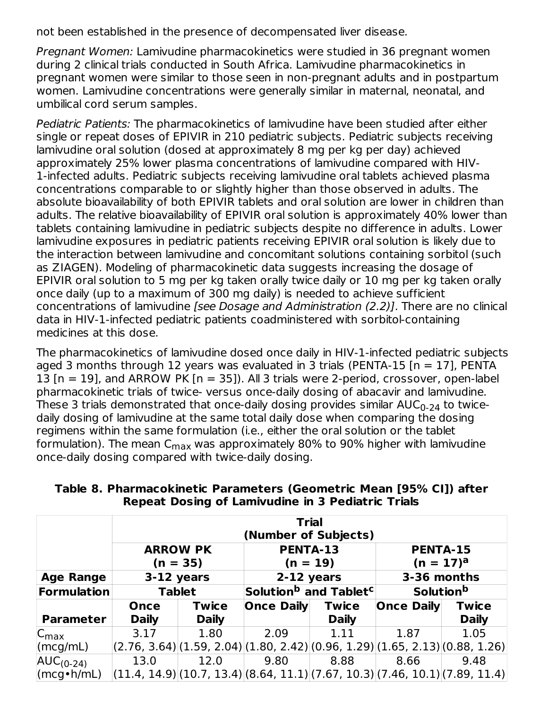not been established in the presence of decompensated liver disease.

Pregnant Women: Lamivudine pharmacokinetics were studied in 36 pregnant women during 2 clinical trials conducted in South Africa. Lamivudine pharmacokinetics in pregnant women were similar to those seen in non-pregnant adults and in postpartum women. Lamivudine concentrations were generally similar in maternal, neonatal, and umbilical cord serum samples.

Pediatric Patients: The pharmacokinetics of lamivudine have been studied after either single or repeat doses of EPIVIR in 210 pediatric subjects. Pediatric subjects receiving lamivudine oral solution (dosed at approximately 8 mg per kg per day) achieved approximately 25% lower plasma concentrations of lamivudine compared with HIV-1‑infected adults. Pediatric subjects receiving lamivudine oral tablets achieved plasma concentrations comparable to or slightly higher than those observed in adults. The absolute bioavailability of both EPIVIR tablets and oral solution are lower in children than adults. The relative bioavailability of EPIVIR oral solution is approximately 40% lower than tablets containing lamivudine in pediatric subjects despite no difference in adults. Lower lamivudine exposures in pediatric patients receiving EPIVIR oral solution is likely due to the interaction between lamivudine and concomitant solutions containing sorbitol (such as ZIAGEN). Modeling of pharmacokinetic data suggests increasing the dosage of EPIVIR oral solution to 5 mg per kg taken orally twice daily or 10 mg per kg taken orally once daily (up to a maximum of 300 mg daily) is needed to achieve sufficient concentrations of lamivudine [see Dosage and Administration (2.2)]. There are no clinical data in HIV-1‑infected pediatric patients coadministered with sorbitol-containing medicines at this dose.

The pharmacokinetics of lamivudine dosed once daily in HIV-1‑infected pediatric subjects aged 3 months through 12 years was evaluated in 3 trials (PENTA-15  $[n = 17]$ , PENTA 13  $[n = 19]$ , and ARROW PK  $[n = 35]$ ). All 3 trials were 2-period, crossover, open-label pharmacokinetic trials of twice- versus once-daily dosing of abacavir and lamivudine. These 3 trials demonstrated that once-daily dosing provides similar AUC $_{\rm 0\text{-}24}$  to twicedaily dosing of lamivudine at the same total daily dose when comparing the dosing regimens within the same formulation (i.e., either the oral solution or the tablet formulation). The mean C<sub>max</sub> was approximately 80% to 90% higher with lamivudine once-daily dosing compared with twice-daily dosing.

|                                                |              |                                                                                           |                   | <b>Trial</b><br>(Number of Subjects)          |                                |                                                                                   |  |
|------------------------------------------------|--------------|-------------------------------------------------------------------------------------------|-------------------|-----------------------------------------------|--------------------------------|-----------------------------------------------------------------------------------|--|
|                                                |              | <b>ARROW PK</b><br>$(n = 35)$                                                             |                   | <b>PENTA-13</b><br>(n = 19)                   | <b>PENTA-15</b><br>$(n = 17)a$ |                                                                                   |  |
| <b>Age Range</b>                               |              | 3-12 years                                                                                |                   | 2-12 years                                    | 3-36 months                    |                                                                                   |  |
| Formulation                                    |              | <b>Tablet</b>                                                                             |                   | Solution <sup>b</sup> and Tablet <sup>c</sup> |                                | <b>Solution</b> b                                                                 |  |
|                                                | Once         | <b>Twice</b>                                                                              | <b>Once Daily</b> | <b>Twice</b>                                  | <b>Once Daily</b>              | <b>Twice</b>                                                                      |  |
| <b>Parameter</b>                               | <b>Daily</b> | <b>Daily</b>                                                                              |                   | <b>Daily</b>                                  |                                | <b>Daily</b>                                                                      |  |
| $C_{\text{max}}$                               | 3.17         | 1.80                                                                                      | 2.09              | 1.11                                          | 1.87                           | 1.05                                                                              |  |
| $\lvert(mcg/mL)\rvert$                         |              | $(2.76, 3.64)$ $(1.59, 2.04)$ $(1.80, 2.42)$ $(0.96, 1.29)$ $(1.65, 2.13)$ $(0.88, 1.26)$ |                   |                                               |                                |                                                                                   |  |
| $AUC_{(0-24)}$                                 | 13.0         | 12.0                                                                                      | 9.80              | 8.88                                          | 8.66                           | 9.48                                                                              |  |
| $\langle \text{mcg} \cdot \text{h/mL} \rangle$ |              |                                                                                           |                   |                                               |                                | $ (11.4, 14.9) (10.7, 13.4) (8.64, 11.1) (7.67, 10.3) (7.46, 10.1) (7.89, 11.4) $ |  |

**Table 8. Pharmacokinetic Parameters (Geometric Mean [95% CI]) after Repeat Dosing of Lamivudine in 3 Pediatric Trials**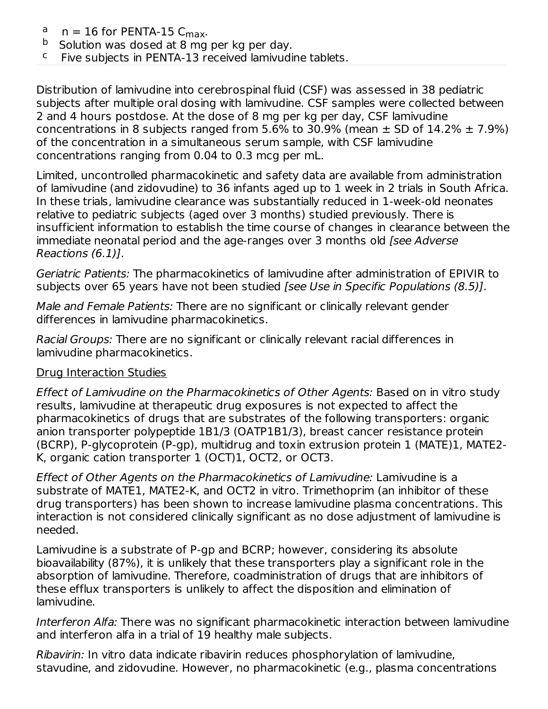- $n = 16$  for PENTA-15  $C_{\text{max}}$ . a
- Solution was dosed at 8 mg per kg per day. b
- Five subjects in PENTA-13 received lamivudine tablets. c

Distribution of lamivudine into cerebrospinal fluid (CSF) was assessed in 38 pediatric subjects after multiple oral dosing with lamivudine. CSF samples were collected between 2 and 4 hours postdose. At the dose of 8 mg per kg per day, CSF lamivudine concentrations in 8 subjects ranged from 5.6% to 30.9% (mean  $\pm$  SD of 14.2%  $\pm$  7.9%) of the concentration in a simultaneous serum sample, with CSF lamivudine concentrations ranging from 0.04 to 0.3 mcg per mL.

Limited, uncontrolled pharmacokinetic and safety data are available from administration of lamivudine (and zidovudine) to 36 infants aged up to 1 week in 2 trials in South Africa. In these trials, lamivudine clearance was substantially reduced in 1-week-old neonates relative to pediatric subjects (aged over 3 months) studied previously. There is insufficient information to establish the time course of changes in clearance between the immediate neonatal period and the age-ranges over 3 months old [see Adverse Reactions (6.1)].

Geriatric Patients: The pharmacokinetics of lamivudine after administration of EPIVIR to subjects over 65 years have not been studied *[see Use in Specific Populations (8.5)]*.

Male and Female Patients: There are no significant or clinically relevant gender differences in lamivudine pharmacokinetics.

Racial Groups: There are no significant or clinically relevant racial differences in lamivudine pharmacokinetics.

## Drug Interaction Studies

Effect of Lamivudine on the Pharmacokinetics of Other Agents: Based on in vitro study results, lamivudine at therapeutic drug exposures is not expected to affect the pharmacokinetics of drugs that are substrates of the following transporters: organic anion transporter polypeptide 1B1/3 (OATP1B1/3), breast cancer resistance protein (BCRP), P-glycoprotein (P-gp), multidrug and toxin extrusion protein 1 (MATE)1, MATE2- K, organic cation transporter 1 (OCT)1, OCT2, or OCT3.

Effect of Other Agents on the Pharmacokinetics of Lamivudine: Lamivudine is a substrate of MATE1, MATE2-K, and OCT2 in vitro. Trimethoprim (an inhibitor of these drug transporters) has been shown to increase lamivudine plasma concentrations. This interaction is not considered clinically significant as no dose adjustment of lamivudine is needed.

Lamivudine is a substrate of P-gp and BCRP; however, considering its absolute bioavailability (87%), it is unlikely that these transporters play a significant role in the absorption of lamivudine. Therefore, coadministration of drugs that are inhibitors of these efflux transporters is unlikely to affect the disposition and elimination of lamivudine.

Interferon Alfa: There was no significant pharmacokinetic interaction between lamivudine and interferon alfa in a trial of 19 healthy male subjects.

Ribavirin: In vitro data indicate ribavirin reduces phosphorylation of lamivudine, stavudine, and zidovudine. However, no pharmacokinetic (e.g., plasma concentrations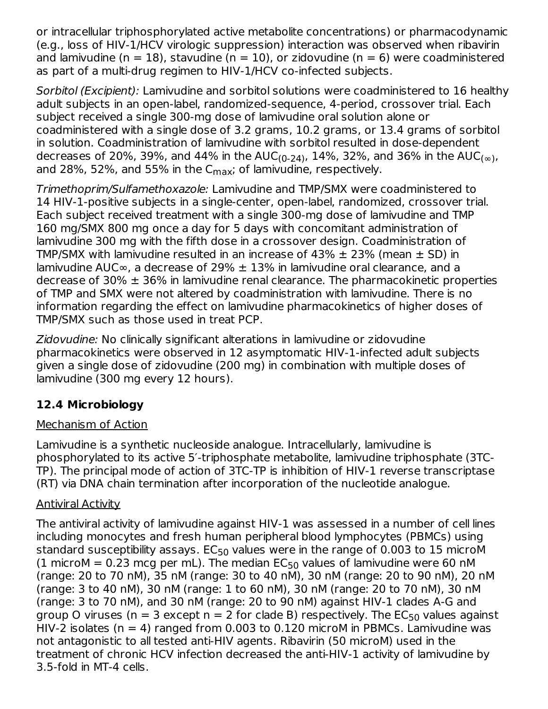or intracellular triphosphorylated active metabolite concentrations) or pharmacodynamic (e.g., loss of HIV‑1/HCV virologic suppression) interaction was observed when ribavirin and lamivudine (n = 18), stavudine (n = 10), or zidovudine (n = 6) were coadministered as part of a multi-drug regimen to HIV-1/HCV co-infected subjects.

Sorbitol (Excipient): Lamivudine and sorbitol solutions were coadministered to 16 healthy adult subjects in an open-label, randomized-sequence, 4-period, crossover trial. Each subject received a single 300-mg dose of lamivudine oral solution alone or coadministered with a single dose of 3.2 grams, 10.2 grams, or 13.4 grams of sorbitol in solution. Coadministration of lamivudine with sorbitol resulted in dose-dependent decreases of 20%, 39%, and 44% in the AUC<sub>(0-24)</sub>, 14%, 32%, and 36% in the AUC<sub>(∞)</sub>, and 28%, 52%, and 55% in the C $_{\sf max}$ ; of lamivudine, respectively.

Trimethoprim/Sulfamethoxazole: Lamivudine and TMP/SMX were coadministered to 14 HIV‑1‑positive subjects in a single‑center, open‑label, randomized, crossover trial. Each subject received treatment with a single 300‑mg dose of lamivudine and TMP 160 mg/SMX 800 mg once a day for 5 days with concomitant administration of lamivudine 300 mg with the fifth dose in a crossover design. Coadministration of TMP/SMX with lamivudine resulted in an increase of 43%  $\pm$  23% (mean  $\pm$  SD) in lamivudine AUC∞, a decrease of 29%  $±$  13% in lamivudine oral clearance, and a decrease of 30%  $\pm$  36% in lamivudine renal clearance. The pharmacokinetic properties of TMP and SMX were not altered by coadministration with lamivudine. There is no information regarding the effect on lamivudine pharmacokinetics of higher doses of TMP/SMX such as those used in treat PCP.

Zidovudine: No clinically significant alterations in lamivudine or zidovudine pharmacokinetics were observed in 12 asymptomatic HIV-1‑infected adult subjects given a single dose of zidovudine (200 mg) in combination with multiple doses of lamivudine (300 mg every 12 hours).

## **12.4 Microbiology**

## Mechanism of Action

Lamivudine is a synthetic nucleoside analogue. Intracellularly, lamivudine is phosphorylated to its active 5′-triphosphate metabolite, lamivudine triphosphate (3TC-TP). The principal mode of action of 3TC-TP is inhibition of HIV-1 reverse transcriptase (RT) via DNA chain termination after incorporation of the nucleotide analogue.

## Antiviral Activity

The antiviral activity of lamivudine against HIV‑1 was assessed in a number of cell lines including monocytes and fresh human peripheral blood lymphocytes (PBMCs) using standard susceptibility assays.  $\mathsf{EC}_{50}$  values were in the range of 0.003 to 15 microM (1 microM = 0.23 mcg per mL). The median  $EC_{50}$  values of lamivudine were 60 nM (range: 20 to 70 nM), 35 nM (range: 30 to 40 nM), 30 nM (range: 20 to 90 nM), 20 nM (range: 3 to 40 nM), 30 nM (range: 1 to 60 nM), 30 nM (range: 20 to 70 nM), 30 nM (range: 3 to 70 nM), and 30 nM (range: 20 to 90 nM) against HIV‑1 clades A-G and group O viruses (n = 3 except n = 2 for clade B) respectively. The EC $_{50}$  values against HIV-2 isolates ( $n = 4$ ) ranged from 0.003 to 0.120 microM in PBMCs. Lamivudine was not antagonistic to all tested anti-HIV agents. Ribavirin (50 microM) used in the treatment of chronic HCV infection decreased the anti-HIV‑1 activity of lamivudine by 3.5‑fold in MT‑4 cells.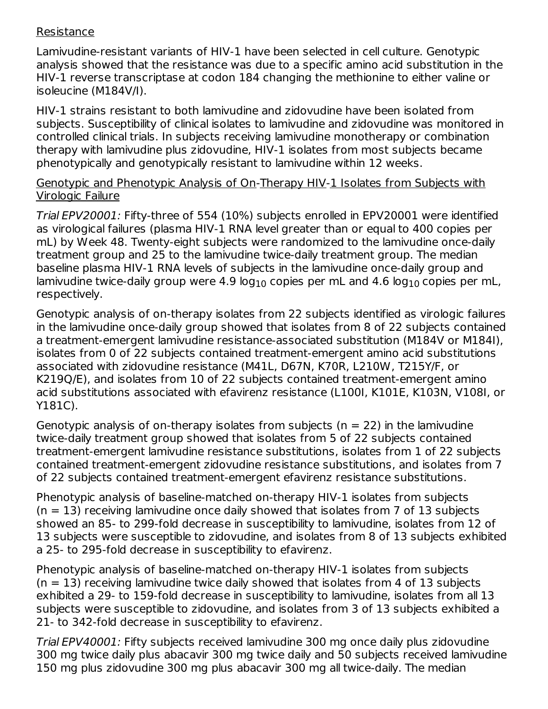#### Resistance

Lamivudine-resistant variants of HIV-1 have been selected in cell culture. Genotypic analysis showed that the resistance was due to a specific amino acid substitution in the HIV‑1 reverse transcriptase at codon 184 changing the methionine to either valine or isoleucine (M184V/I).

HIV‑1 strains resistant to both lamivudine and zidovudine have been isolated from subjects. Susceptibility of clinical isolates to lamivudine and zidovudine was monitored in controlled clinical trials. In subjects receiving lamivudine monotherapy or combination therapy with lamivudine plus zidovudine, HIV‑1 isolates from most subjects became phenotypically and genotypically resistant to lamivudine within 12 weeks.

#### Genotypic and Phenotypic Analysis of On‑Therapy HIV‑1 Isolates from Subjects with Virologic Failure

Trial EPV20001: Fifty-three of 554 (10%) subjects enrolled in EPV20001 were identified as virological failures (plasma HIV‑1 RNA level greater than or equal to 400 copies per mL) by Week 48. Twenty-eight subjects were randomized to the lamivudine once‑daily treatment group and 25 to the lamivudine twice‑daily treatment group. The median baseline plasma HIV‑1 RNA levels of subjects in the lamivudine once‑daily group and lamivudine twice-daily group were 4.9 log $_{10}$  copies per mL and 4.6 log $_{10}$  copies per mL, respectively.

Genotypic analysis of on‑therapy isolates from 22 subjects identified as virologic failures in the lamivudine once‑daily group showed that isolates from 8 of 22 subjects contained a treatment‑emergent lamivudine resistance‑associated substitution (M184V or M184I), isolates from 0 of 22 subjects contained treatment‑emergent amino acid substitutions associated with zidovudine resistance (M41L, D67N, K70R, L210W, T215Y/F, or K219Q/E), and isolates from 10 of 22 subjects contained treatment-emergent amino acid substitutions associated with efavirenz resistance (L100I, K101E, K103N, V108I, or Y181C).

Genotypic analysis of on-therapy isolates from subjects ( $n = 22$ ) in the lamivudine twice‑daily treatment group showed that isolates from 5 of 22 subjects contained treatment‑emergent lamivudine resistance substitutions, isolates from 1 of 22 subjects contained treatment‑emergent zidovudine resistance substitutions, and isolates from 7 of 22 subjects contained treatment‑emergent efavirenz resistance substitutions.

Phenotypic analysis of baseline-matched on-therapy HIV-1 isolates from subjects  $(n = 13)$  receiving lamivudine once daily showed that isolates from 7 of 13 subjects showed an 85- to 299‑fold decrease in susceptibility to lamivudine, isolates from 12 of 13 subjects were susceptible to zidovudine, and isolates from 8 of 13 subjects exhibited a 25- to 295‑fold decrease in susceptibility to efavirenz.

Phenotypic analysis of baseline-matched on-therapy HIV-1 isolates from subjects  $(n = 13)$  receiving lamivudine twice daily showed that isolates from 4 of 13 subjects exhibited a 29- to 159‑fold decrease in susceptibility to lamivudine, isolates from all 13 subjects were susceptible to zidovudine, and isolates from 3 of 13 subjects exhibited a 21- to 342‑fold decrease in susceptibility to efavirenz.

Trial EPV40001: Fifty subjects received lamivudine 300 mg once daily plus zidovudine 300 mg twice daily plus abacavir 300 mg twice daily and 50 subjects received lamivudine 150 mg plus zidovudine 300 mg plus abacavir 300 mg all twice-daily. The median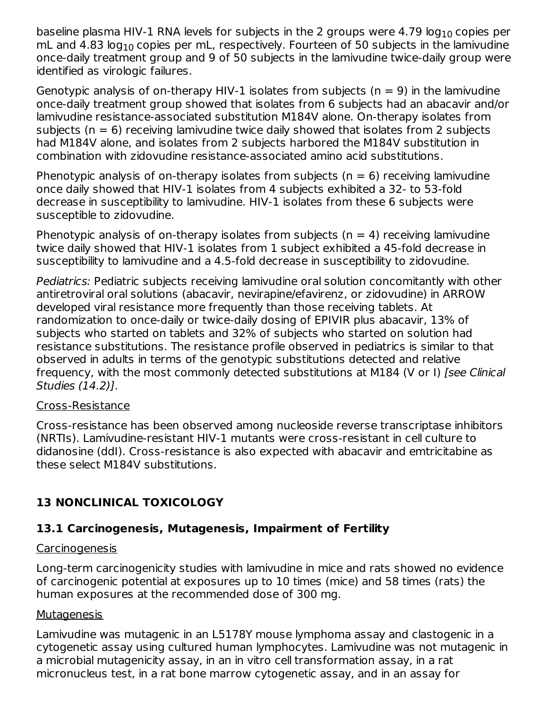baseline plasma HIV-1 RNA levels for subjects in the 2 groups were 4.79 log $_{\rm 10}$  copies per mL and 4.83 log $_{10}$  copies per mL, respectively. Fourteen of 50 subjects in the lamivudine once‑daily treatment group and 9 of 50 subjects in the lamivudine twice‑daily group were identified as virologic failures.

Genotypic analysis of on-therapy HIV-1 isolates from subjects ( $n = 9$ ) in the lamivudine once‑daily treatment group showed that isolates from 6 subjects had an abacavir and/or lamivudine resistance-associated substitution M184V alone. On-therapy isolates from subjects ( $n = 6$ ) receiving lamivudine twice daily showed that isolates from 2 subjects had M184V alone, and isolates from 2 subjects harbored the M184V substitution in combination with zidovudine resistance‑associated amino acid substitutions.

Phenotypic analysis of on-therapy isolates from subjects ( $n = 6$ ) receiving lamivudine once daily showed that HIV‑1 isolates from 4 subjects exhibited a 32- to 53‑fold decrease in susceptibility to lamivudine. HIV‑1 isolates from these 6 subjects were susceptible to zidovudine.

Phenotypic analysis of on-therapy isolates from subjects ( $n = 4$ ) receiving lamivudine twice daily showed that HIV‑1 isolates from 1 subject exhibited a 45‑fold decrease in susceptibility to lamivudine and a 4.5‑fold decrease in susceptibility to zidovudine.

Pediatrics: Pediatric subjects receiving lamivudine oral solution concomitantly with other antiretroviral oral solutions (abacavir, nevirapine/efavirenz, or zidovudine) in ARROW developed viral resistance more frequently than those receiving tablets. At randomization to once-daily or twice-daily dosing of EPIVIR plus abacavir, 13% of subjects who started on tablets and 32% of subjects who started on solution had resistance substitutions. The resistance profile observed in pediatrics is similar to that observed in adults in terms of the genotypic substitutions detected and relative frequency, with the most commonly detected substitutions at M184 (V or I) [see Clinical Studies (14.2)].

#### Cross-Resistance

Cross-resistance has been observed among nucleoside reverse transcriptase inhibitors (NRTIs). Lamivudine-resistant HIV-1 mutants were cross-resistant in cell culture to didanosine (ddI). Cross-resistance is also expected with abacavir and emtricitabine as these select M184V substitutions.

## **13 NONCLINICAL TOXICOLOGY**

## **13.1 Carcinogenesis, Mutagenesis, Impairment of Fertility**

## Carcinogenesis

Long-term carcinogenicity studies with lamivudine in mice and rats showed no evidence of carcinogenic potential at exposures up to 10 times (mice) and 58 times (rats) the human exposures at the recommended dose of 300 mg.

## Mutagenesis

Lamivudine was mutagenic in an L5178Y mouse lymphoma assay and clastogenic in a cytogenetic assay using cultured human lymphocytes. Lamivudine was not mutagenic in a microbial mutagenicity assay, in an in vitro cell transformation assay, in a rat micronucleus test, in a rat bone marrow cytogenetic assay, and in an assay for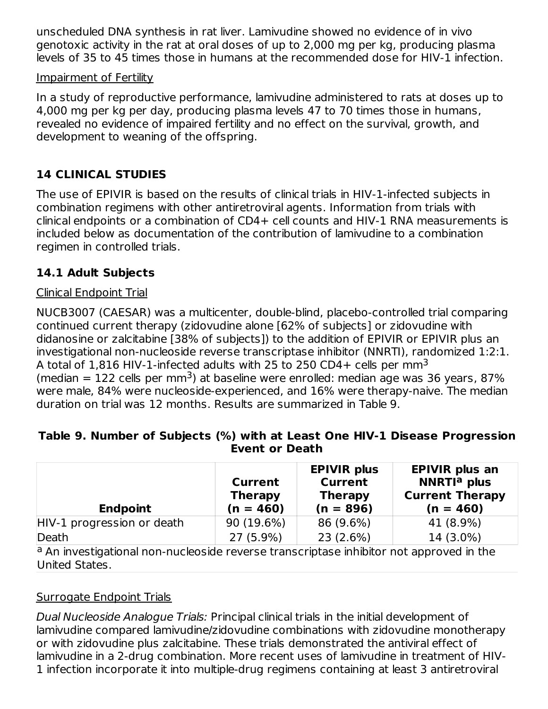unscheduled DNA synthesis in rat liver. Lamivudine showed no evidence of in vivo genotoxic activity in the rat at oral doses of up to 2,000 mg per kg, producing plasma levels of 35 to 45 times those in humans at the recommended dose for HIV‑1 infection.

#### Impairment of Fertility

In a study of reproductive performance, lamivudine administered to rats at doses up to 4,000 mg per kg per day, producing plasma levels 47 to 70 times those in humans, revealed no evidence of impaired fertility and no effect on the survival, growth, and development to weaning of the offspring.

## **14 CLINICAL STUDIES**

The use of EPIVIR is based on the results of clinical trials in HIV-1‑infected subjects in combination regimens with other antiretroviral agents. Information from trials with clinical endpoints or a combination of CD4+ cell counts and HIV-1 RNA measurements is included below as documentation of the contribution of lamivudine to a combination regimen in controlled trials.

## **14.1 Adult Subjects**

#### Clinical Endpoint Trial

NUCB3007 (CAESAR) was a multicenter, double-blind, placebo-controlled trial comparing continued current therapy (zidovudine alone [62% of subjects] or zidovudine with didanosine or zalcitabine [38% of subjects]) to the addition of EPIVIR or EPIVIR plus an investigational non-nucleoside reverse transcriptase inhibitor (NNRTI), randomized 1:2:1. A total of 1,816 HIV-1-infected adults with 25 to 250 CD4+ cells per mm $^3$ (median  $= 122$  cells per mm<sup>3</sup>) at baseline were enrolled: median age was 36 years, 87% were male, 84% were nucleoside-experienced, and 16% were therapy-naive. The median duration on trial was 12 months. Results are summarized in Table 9.

#### **Table 9. Number of Subjects (%) with at Least One HIV-1 Disease Progression Event or Death**

| <b>Endpoint</b>            | <b>Current</b><br><b>Therapy</b><br>$(n = 460)$ | <b>EPIVIR plus</b><br><b>Current</b><br><b>Therapy</b><br>$(n = 896)$ | <b>EPIVIR plus an</b><br>NNRTI <sup>a</sup> plus<br><b>Current Therapy</b><br>$(n = 460)$ |
|----------------------------|-------------------------------------------------|-----------------------------------------------------------------------|-------------------------------------------------------------------------------------------|
| HIV-1 progression or death | 90 (19.6%)                                      | 86 (9.6%)                                                             | 41 (8.9%)                                                                                 |
| Death                      | 27 (5.9%)                                       | 23 (2.6%)                                                             | 14 (3.0%)                                                                                 |

<sup>a</sup> An investigational non-nucleoside reverse transcriptase inhibitor not approved in the United States.

## Surrogate Endpoint Trials

Dual Nucleoside Analogue Trials: Principal clinical trials in the initial development of lamivudine compared lamivudine/zidovudine combinations with zidovudine monotherapy or with zidovudine plus zalcitabine. These trials demonstrated the antiviral effect of lamivudine in a 2-drug combination. More recent uses of lamivudine in treatment of HIV-1 infection incorporate it into multiple-drug regimens containing at least 3 antiretroviral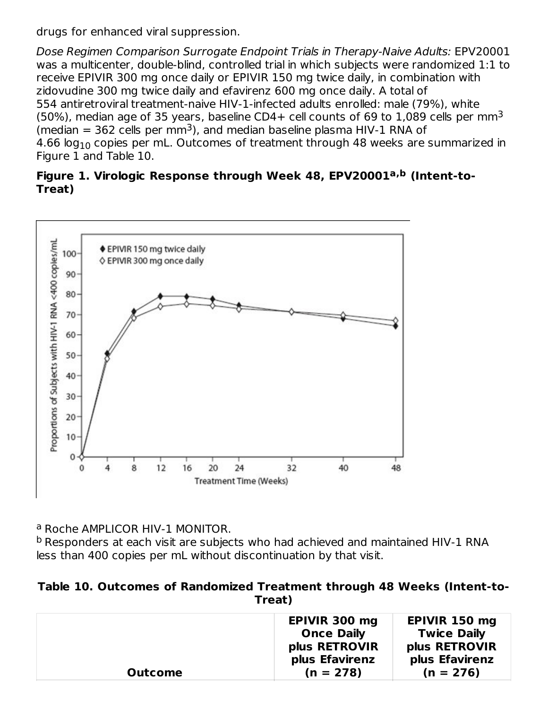drugs for enhanced viral suppression.

Dose Regimen Comparison Surrogate Endpoint Trials in Therapy-Naive Adults: EPV20001 was a multicenter, double-blind, controlled trial in which subjects were randomized 1:1 to receive EPIVIR 300 mg once daily or EPIVIR 150 mg twice daily, in combination with zidovudine 300 mg twice daily and efavirenz 600 mg once daily. A total of 554 antiretroviral treatment-naive HIV-1‑infected adults enrolled: male (79%), white (50%), median age of 35 years, baseline CD4+ cell counts of 69 to 1,089 cells per mm<sup>3</sup> (median  $=$  362 cells per mm<sup>3</sup>), and median baseline plasma HIV-1 RNA of 4.66 log $_{\rm 10}$  copies per mL. Outcomes of treatment through 48 weeks are summarized in Figure 1 and Table 10.

#### **Figure 1. Virologic Response through Week 48, EPV20001 (Intent-to-a,b Treat)**



<sup>a</sup> Roche AMPLICOR HIV-1 MONITOR.

<sup>b</sup> Responders at each visit are subjects who had achieved and maintained HIV-1 RNA less than 400 copies per mL without discontinuation by that visit.

**Table 10. Outcomes of Randomized Treatment through 48 Weeks (Intent-to-Treat)**

|                | EPIVIR 300 mg<br><b>Once Daily</b><br>plus RETROVIR<br>plus Efavirenz | EPIVIR 150 mg<br><b>Twice Daily</b><br>plus RETROVIR<br>plus Efavirenz |
|----------------|-----------------------------------------------------------------------|------------------------------------------------------------------------|
| <b>Outcome</b> | $(n = 278)$                                                           | $(n = 276)$                                                            |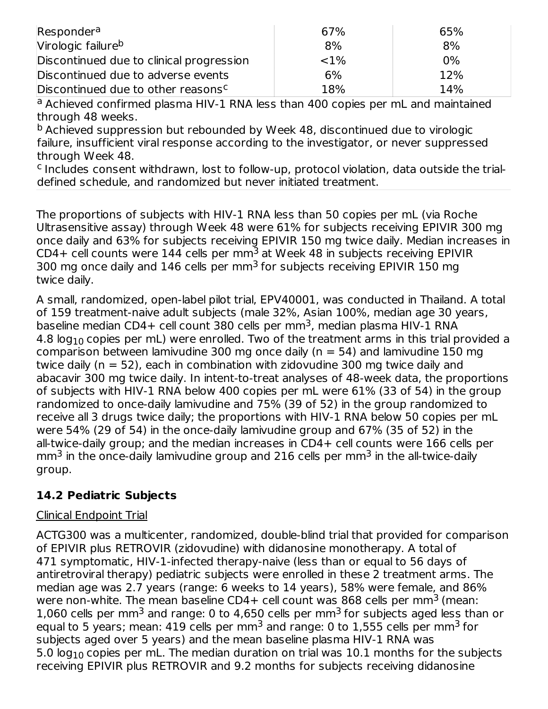| Responder <sup>a</sup>                         | 67%      | 65%   |
|------------------------------------------------|----------|-------|
| Virologic failure <sup>b</sup>                 | 8%       | 8%    |
| Discontinued due to clinical progression       | ${<}1\%$ | $0\%$ |
| Discontinued due to adverse events             | 6%       | 12%   |
| Discontinued due to other reasons <sup>c</sup> | 18%      | 14%   |

a Achieved confirmed plasma HIV-1 RNA less than 400 copies per mL and maintained through 48 weeks.

<sup>b</sup> Achieved suppression but rebounded by Week 48, discontinued due to virologic failure, insufficient viral response according to the investigator, or never suppressed through Week 48.

<sup>c</sup> Includes consent withdrawn, lost to follow-up, protocol violation, data outside the trialdefined schedule, and randomized but never initiated treatment.

The proportions of subjects with HIV-1 RNA less than 50 copies per mL (via Roche Ultrasensitive assay) through Week 48 were 61% for subjects receiving EPIVIR 300 mg once daily and 63% for subjects receiving EPIVIR 150 mg twice daily. Median increases in CD4+ cell counts were 144 cells per mm<sup>3</sup> at Week 48 in subjects receiving EPIVIR 300 mg once daily and  $146$  cells per mm $^3$  for subjects receiving EPIVIR 150 mg twice daily.

A small, randomized, open‑label pilot trial, EPV40001, was conducted in Thailand. A total of 159 treatment‑naive adult subjects (male 32%, Asian 100%, median age 30 years, baseline median CD4+ cell count 380 cells per mm<sup>3</sup>, median plasma HIV-1 RNA 4.8 log $_{\rm 10}$  copies per mL) were enrolled. Two of the treatment arms in this trial provided a comparison between lamivudine 300 mg once daily ( $n = 54$ ) and lamivudine 150 mg twice daily (n = 52), each in combination with zidovudine 300 mg twice daily and abacavir 300 mg twice daily. In intent‑to‑treat analyses of 48‑week data, the proportions of subjects with HIV‑1 RNA below 400 copies per mL were 61% (33 of 54) in the group randomized to once‑daily lamivudine and 75% (39 of 52) in the group randomized to receive all 3 drugs twice daily; the proportions with HIV‑1 RNA below 50 copies per mL were 54% (29 of 54) in the once‑daily lamivudine group and 67% (35 of 52) in the all-twice-daily group; and the median increases in CD4+ cell counts were 166 cells per mm $^3$  in the once‑daily lamivudine group and 216 cells per mm $^3$  in the all‑twice‑daily group.

## **14.2 Pediatric Subjects**

## Clinical Endpoint Trial

ACTG300 was a multicenter, randomized, double-blind trial that provided for comparison of EPIVIR plus RETROVIR (zidovudine) with didanosine monotherapy. A total of 471 symptomatic, HIV-1‑infected therapy-naive (less than or equal to 56 days of antiretroviral therapy) pediatric subjects were enrolled in these 2 treatment arms. The median age was 2.7 years (range: 6 weeks to 14 years), 58% were female, and 86% were non-white. The mean baseline CD4+ cell count was 868 cells per mm<sup>3</sup> (mean: 1,060 cells per mm<sup>3</sup> and range: 0 to 4,650 cells per mm<sup>3</sup> for subjects aged less than or equal to 5 years; mean: 419 cells per mm $^3$  and range: 0 to 1,555 cells per mm $^3$  for subjects aged over 5 years) and the mean baseline plasma HIV-1 RNA was 5.0 log $_{\rm 10}$  copies per mL. The median duration on trial was  $10.1$  months for the subjects receiving EPIVIR plus RETROVIR and 9.2 months for subjects receiving didanosine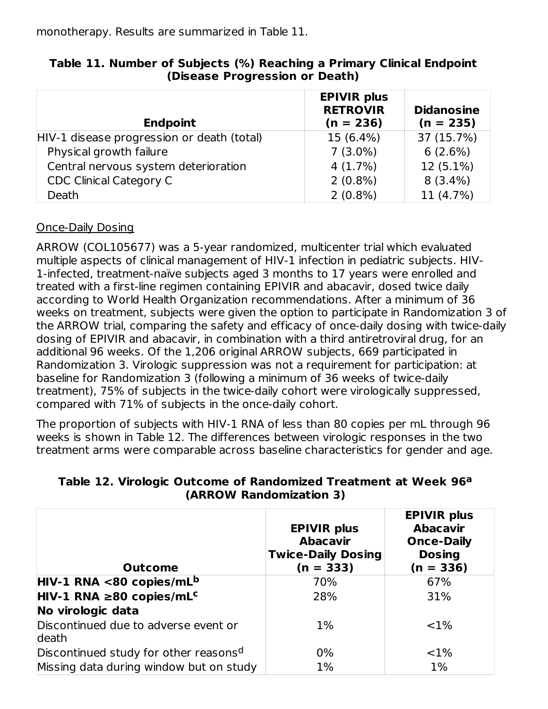monotherapy. Results are summarized in Table 11.

| <b>Endpoint</b>                            | <b>EPIVIR plus</b><br><b>RETROVIR</b><br>$(n = 236)$ | <b>Didanosine</b><br>$(n = 235)$ |
|--------------------------------------------|------------------------------------------------------|----------------------------------|
| HIV-1 disease progression or death (total) | 15 (6.4%)                                            | 37 (15.7%)                       |
| Physical growth failure                    | $7(3.0\%)$                                           | 6(2.6%)                          |
| Central nervous system deterioration       | 4(1.7%)                                              | 12 (5.1%)                        |
| <b>CDC Clinical Category C</b>             | $2(0.8\%)$                                           | $8(3.4\%)$                       |
| Death                                      | $2(0.8\%)$                                           | 11 (4.7%)                        |

#### **Table 11. Number of Subjects (%) Reaching a Primary Clinical Endpoint (Disease Progression or Death)**

## Once-Daily Dosing

ARROW (COL105677) was a 5-year randomized, multicenter trial which evaluated multiple aspects of clinical management of HIV-1 infection in pediatric subjects. HIV-1‑infected, treatment-naïve subjects aged 3 months to 17 years were enrolled and treated with a first-line regimen containing EPIVIR and abacavir, dosed twice daily according to World Health Organization recommendations. After a minimum of 36 weeks on treatment, subjects were given the option to participate in Randomization 3 of the ARROW trial, comparing the safety and efficacy of once-daily dosing with twice-daily dosing of EPIVIR and abacavir, in combination with a third antiretroviral drug, for an additional 96 weeks. Of the 1,206 original ARROW subjects, 669 participated in Randomization 3. Virologic suppression was not a requirement for participation: at baseline for Randomization 3 (following a minimum of 36 weeks of twice-daily treatment), 75% of subjects in the twice-daily cohort were virologically suppressed, compared with 71% of subjects in the once-daily cohort.

The proportion of subjects with HIV-1 RNA of less than 80 copies per mL through 96 weeks is shown in Table 12. The differences between virologic responses in the two treatment arms were comparable across baseline characteristics for gender and age.

| <b>Outcome</b>                                    | <b>EPIVIR plus</b><br><b>Abacavir</b><br><b>Twice-Daily Dosing</b><br>$(n = 333)$ | <b>EPIVIR plus</b><br><b>Abacavir</b><br><b>Once-Daily</b><br><b>Dosing</b><br>$(n = 336)$ |
|---------------------------------------------------|-----------------------------------------------------------------------------------|--------------------------------------------------------------------------------------------|
| HIV-1 RNA <80 copies/mL <sup>b</sup>              | 70%                                                                               | 67%                                                                                        |
| $HIV-1 RNA \ge 80 copies/mLc$                     | 28%                                                                               | 31%                                                                                        |
| No virologic data                                 |                                                                                   |                                                                                            |
| Discontinued due to adverse event or<br>death     | $1\%$                                                                             | <1%                                                                                        |
| Discontinued study for other reasons <sup>d</sup> | $0\%$                                                                             | <1%                                                                                        |
| Missing data during window but on study           | 1%                                                                                | $1\%$                                                                                      |

#### **Table 12. Virologic Outcome of Randomized Treatment at Week 96 a (ARROW Randomization 3)**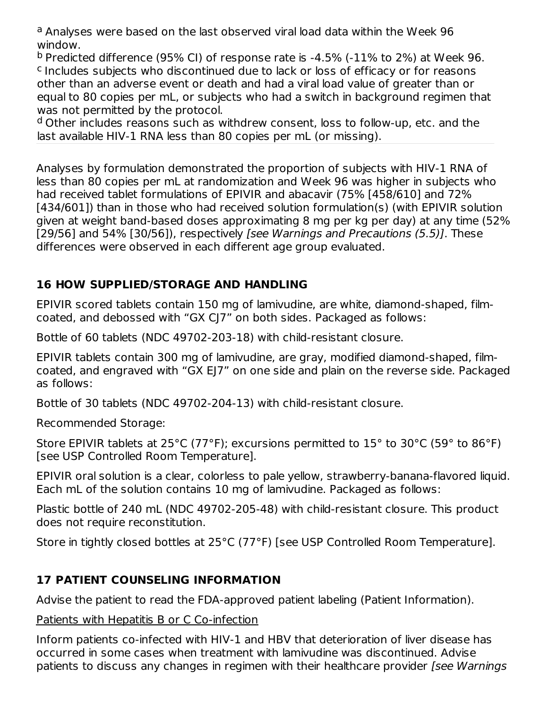<sup>a</sup> Analyses were based on the last observed viral load data within the Week 96 window.

 $^{\text{b}}$  Predicted difference (95% CI) of response rate is -4.5% (-11% to 2%) at Week 96. <sup>c</sup> Includes subjects who discontinued due to lack or loss of efficacy or for reasons other than an adverse event or death and had a viral load value of greater than or equal to 80 copies per mL, or subjects who had a switch in background regimen that was not permitted by the protocol.

<sup>d</sup> Other includes reasons such as withdrew consent, loss to follow-up, etc. and the last available HIV-1 RNA less than 80 copies per mL (or missing).

Analyses by formulation demonstrated the proportion of subjects with HIV-1 RNA of less than 80 copies per mL at randomization and Week 96 was higher in subjects who had received tablet formulations of EPIVIR and abacavir (75% [458/610] and 72% [434/601]) than in those who had received solution formulation(s) (with EPIVIR solution given at weight band-based doses approximating 8 mg per kg per day) at any time (52% [29/56] and 54% [30/56]), respectively *[see Warnings and Precautions (5.5)]*. These differences were observed in each different age group evaluated.

## **16 HOW SUPPLIED/STORAGE AND HANDLING**

EPIVIR scored tablets contain 150 mg of lamivudine, are white, diamond-shaped, filmcoated, and debossed with "GX CJ7" on both sides. Packaged as follows:

Bottle of 60 tablets (NDC 49702-203-18) with child-resistant closure.

EPIVIR tablets contain 300 mg of lamivudine, are gray, modified diamond-shaped, filmcoated, and engraved with "GX EJ7" on one side and plain on the reverse side. Packaged as follows:

Bottle of 30 tablets (NDC 49702-204-13) with child-resistant closure.

Recommended Storage:

Store EPIVIR tablets at 25°C (77°F); excursions permitted to 15° to 30°C (59° to 86°F) [see USP Controlled Room Temperature].

EPIVIR oral solution is a clear, colorless to pale yellow, strawberry-banana-flavored liquid. Each mL of the solution contains 10 mg of lamivudine. Packaged as follows:

Plastic bottle of 240 mL (NDC 49702-205-48) with child-resistant closure. This product does not require reconstitution.

Store in tightly closed bottles at 25°C (77°F) [see USP Controlled Room Temperature].

## **17 PATIENT COUNSELING INFORMATION**

Advise the patient to read the FDA-approved patient labeling (Patient Information).

## Patients with Hepatitis B or C Co-infection

Inform patients co‑infected with HIV‑1 and HBV that deterioration of liver disease has occurred in some cases when treatment with lamivudine was discontinued. Advise patients to discuss any changes in regimen with their healthcare provider [see Warnings]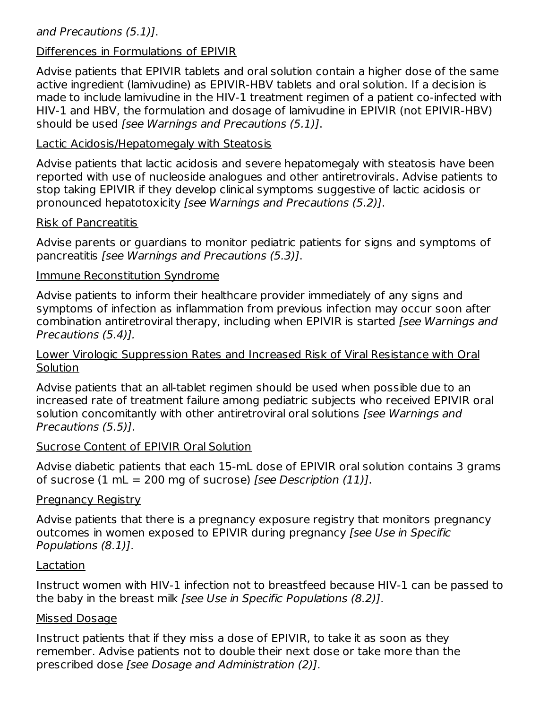#### and Precautions (5.1)].

#### Differences in Formulations of EPIVIR

Advise patients that EPIVIR tablets and oral solution contain a higher dose of the same active ingredient (lamivudine) as EPIVIR‑HBV tablets and oral solution. If a decision is made to include lamivudine in the HIV-1 treatment regimen of a patient co-infected with HIV‑1 and HBV, the formulation and dosage of lamivudine in EPIVIR (not EPIVIR‑HBV) should be used [see Warnings and Precautions (5.1)].

#### Lactic Acidosis/Hepatomegaly with Steatosis

Advise patients that lactic acidosis and severe hepatomegaly with steatosis have been reported with use of nucleoside analogues and other antiretrovirals. Advise patients to stop taking EPIVIR if they develop clinical symptoms suggestive of lactic acidosis or pronounced hepatotoxicity [see Warnings and Precautions (5.2)].

#### Risk of Pancreatitis

Advise parents or guardians to monitor pediatric patients for signs and symptoms of pancreatitis [see Warnings and Precautions (5.3)].

#### Immune Reconstitution Syndrome

Advise patients to inform their healthcare provider immediately of any signs and symptoms of infection as inflammation from previous infection may occur soon after combination antiretroviral therapy, including when EPIVIR is started [see Warnings and Precautions (5.4)].

#### Lower Virologic Suppression Rates and Increased Risk of Viral Resistance with Oral Solution

Advise patients that an all-tablet regimen should be used when possible due to an increased rate of treatment failure among pediatric subjects who received EPIVIR oral solution concomitantly with other antiretroviral oral solutions [see Warnings and Precautions (5.5)].

#### Sucrose Content of EPIVIR Oral Solution

Advise diabetic patients that each 15‑mL dose of EPIVIR oral solution contains 3 grams of sucrose  $(1 \text{ mL} = 200 \text{ mg}$  of sucrose) [see Description  $(11)$ ].

#### Pregnancy Registry

Advise patients that there is a pregnancy exposure registry that monitors pregnancy outcomes in women exposed to EPIVIR during pregnancy [see Use in Specific Populations (8.1)].

#### Lactation

Instruct women with HIV-1 infection not to breastfeed because HIV‑1 can be passed to the baby in the breast milk [see Use in Specific Populations (8.2)].

#### Missed Dosage

Instruct patients that if they miss a dose of EPIVIR, to take it as soon as they remember. Advise patients not to double their next dose or take more than the prescribed dose [see Dosage and Administration (2)].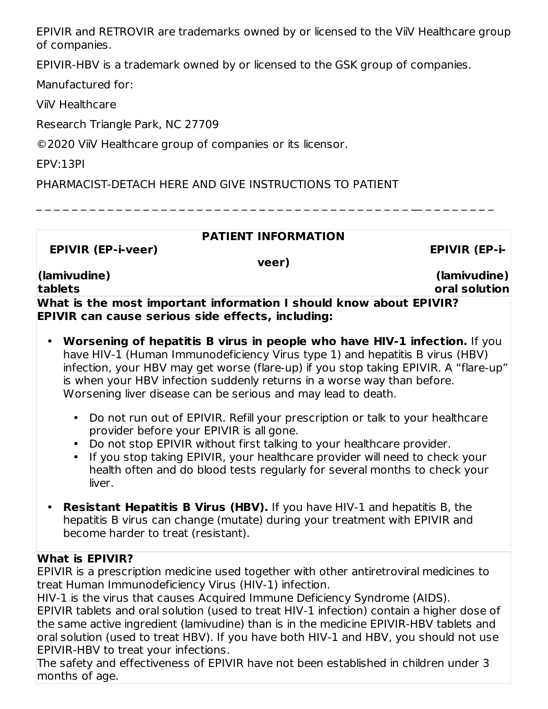EPIVIR and RETROVIR are trademarks owned by or licensed to the ViiV Healthcare group of companies.

EPIVIR-HBV is a trademark owned by or licensed to the GSK group of companies.

Manufactured for:

ViiV Healthcare

Research Triangle Park, NC 27709

©2020 ViiV Healthcare group of companies or its licensor.

EPV:13PI

PHARMACIST-DETACH HERE AND GIVE INSTRUCTIONS TO PATIENT

\_ \_ \_ \_ \_ \_ \_ \_ \_ \_ \_ \_ \_ \_ \_ \_ \_ \_ \_ \_ \_ \_ \_ \_ \_ \_ \_ \_ \_ \_ \_ \_ \_ \_ \_ \_ \_ \_ \_ \_ \_ \_ \_\_ \_ \_ \_ \_ \_ \_ \_ \_

| <b>PATIENT INFORMATION</b>                                                                                                     |                       |
|--------------------------------------------------------------------------------------------------------------------------------|-----------------------|
| <b>EPIVIR (EP-i-veer)</b>                                                                                                      | <b>EPIVIR (EP-i-</b>  |
| veer)                                                                                                                          |                       |
| (lamivudine)                                                                                                                   | $(\text{lamivudine})$ |
| tablets                                                                                                                        | oral solution         |
| What is the most important information I should know about EPIVIR?<br><b>EPIVIR can cause serious side effects, including:</b> |                       |

- **Worsening of hepatitis B virus in people who have HIV-1 infection.** If you have HIV-1 (Human Immunodeficiency Virus type 1) and hepatitis B virus (HBV) infection, your HBV may get worse (flare-up) if you stop taking EPIVIR. A "flare-up" is when your HBV infection suddenly returns in a worse way than before. Worsening liver disease can be serious and may lead to death.
	- Do not run out of EPIVIR. Refill your prescription or talk to your healthcare provider before your EPIVIR is all gone.
	- Do not stop EPIVIR without first talking to your healthcare provider.
	- If you stop taking EPIVIR, your healthcare provider will need to check your health often and do blood tests regularly for several months to check your liver.
- **Resistant Hepatitis B Virus (HBV).** If you have HIV-1 and hepatitis B, the hepatitis B virus can change (mutate) during your treatment with EPIVIR and become harder to treat (resistant).

## **What is EPIVIR?**

EPIVIR is a prescription medicine used together with other antiretroviral medicines to treat Human Immunodeficiency Virus (HIV-1) infection.

HIV-1 is the virus that causes Acquired Immune Deficiency Syndrome (AIDS).

EPIVIR tablets and oral solution (used to treat HIV-1 infection) contain a higher dose of the same active ingredient (lamivudine) than is in the medicine EPIVIR-HBV tablets and oral solution (used to treat HBV). If you have both HIV-1 and HBV, you should not use EPIVIR-HBV to treat your infections.

The safety and effectiveness of EPIVIR have not been established in children under 3 months of age.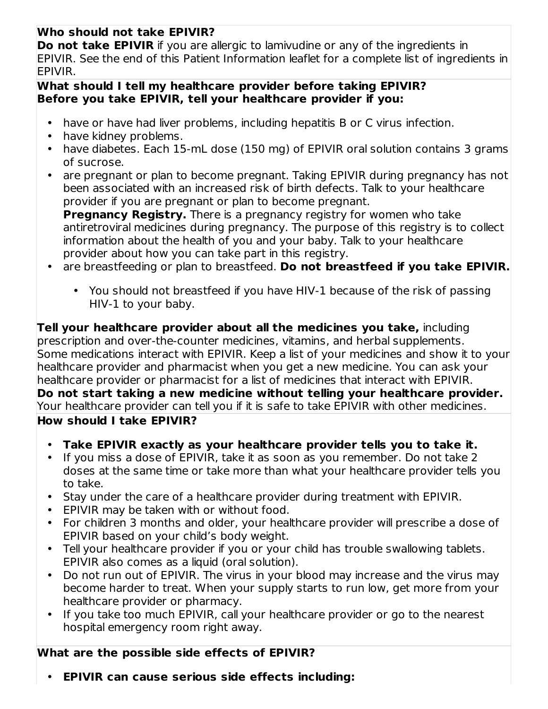## **Who should not take EPIVIR?**

**Do not take EPIVIR** if you are allergic to lamivudine or any of the ingredients in EPIVIR. See the end of this Patient Information leaflet for a complete list of ingredients in EPIVIR.

#### **What should I tell my healthcare provider before taking EPIVIR? Before you take EPIVIR, tell your healthcare provider if you:**

- have or have had liver problems, including hepatitis B or C virus infection.
- have kidney problems.
- have diabetes. Each 15-mL dose (150 mg) of EPIVIR oral solution contains 3 grams of sucrose.
- are pregnant or plan to become pregnant. Taking EPIVIR during pregnancy has not been associated with an increased risk of birth defects. Talk to your healthcare provider if you are pregnant or plan to become pregnant.

**Pregnancy Registry.** There is a pregnancy registry for women who take antiretroviral medicines during pregnancy. The purpose of this registry is to collect information about the health of you and your baby. Talk to your healthcare provider about how you can take part in this registry.

- $\bullet$ are breastfeeding or plan to breastfeed. **Do not breastfeed if you take EPIVIR.**
	- You should not breastfeed if you have HIV-1 because of the risk of passing HIV-1 to your baby.

**Tell your healthcare provider about all the medicines you take,** including prescription and over-the-counter medicines, vitamins, and herbal supplements. Some medications interact with EPIVIR. Keep a list of your medicines and show it to your healthcare provider and pharmacist when you get a new medicine. You can ask your healthcare provider or pharmacist for a list of medicines that interact with EPIVIR. **Do not start taking a new medicine without telling your healthcare provider.** Your healthcare provider can tell you if it is safe to take EPIVIR with other medicines. **How should I take EPIVIR?**

- **Take EPIVIR exactly as your healthcare provider tells you to take it.**
- If you miss a dose of EPIVIR, take it as soon as you remember. Do not take 2 doses at the same time or take more than what your healthcare provider tells you to take.
- Stay under the care of a healthcare provider during treatment with EPIVIR.
- EPIVIR may be taken with or without food.
- For children 3 months and older, your healthcare provider will prescribe a dose of EPIVIR based on your child's body weight.
- $\bullet$ Tell your healthcare provider if you or your child has trouble swallowing tablets. EPIVIR also comes as a liquid (oral solution).
- Do not run out of EPIVIR. The virus in your blood may increase and the virus may become harder to treat. When your supply starts to run low, get more from your healthcare provider or pharmacy.
- If you take too much EPIVIR, call your healthcare provider or go to the nearest hospital emergency room right away.

## **What are the possible side effects of EPIVIR?**

• **EPIVIR can cause serious side effects including:**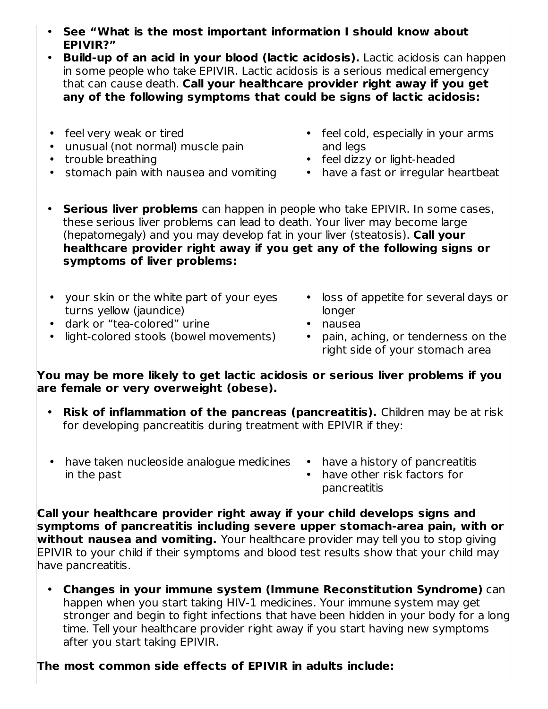- **See "What is the most important information I should know about EPIVIR?"**
- **Build-up of an acid in your blood (lactic acidosis).** Lactic acidosis can happen in some people who take EPIVIR. Lactic acidosis is a serious medical emergency that can cause death. **Call your healthcare provider right away if you get any of the following symptoms that could be signs of lactic acidosis:**
- feel very weak or tired
- unusual (not normal) muscle pain
- trouble breathing
- stomach pain with nausea and vomiting
- feel cold, especially in your arms and legs
- feel dizzy or light-headed
- have a fast or irregular heartbeat
- **Serious liver problems** can happen in people who take EPIVIR. In some cases, these serious liver problems can lead to death. Your liver may become large (hepatomegaly) and you may develop fat in your liver (steatosis). **Call your healthcare provider right away if you get any of the following signs or symptoms of liver problems:**
- your skin or the white part of your eyes turns yellow (jaundice)
- dark or "tea-colored" urine
- light-colored stools (bowel movements)
- loss of appetite for several days or longer
- nausea
- pain, aching, or tenderness on the right side of your stomach area

#### **You may be more likely to get lactic acidosis or serious liver problems if you are female or very overweight (obese).**

- **Risk of inflammation of the pancreas (pancreatitis).** Children may be at risk for developing pancreatitis during treatment with EPIVIR if they:
- have taken nucleoside analogue medicines have a history of pancreatitis in the past
- - have other risk factors for pancreatitis

**Call your healthcare provider right away if your child develops signs and symptoms of pancreatitis including severe upper stomach-area pain, with or without nausea and vomiting.** Your healthcare provider may tell you to stop giving EPIVIR to your child if their symptoms and blood test results show that your child may have pancreatitis.

• **Changes in your immune system (Immune Reconstitution Syndrome)** can happen when you start taking HIV-1 medicines. Your immune system may get stronger and begin to fight infections that have been hidden in your body for a long time. Tell your healthcare provider right away if you start having new symptoms after you start taking EPIVIR.

## **The most common side effects of EPIVIR in adults include:**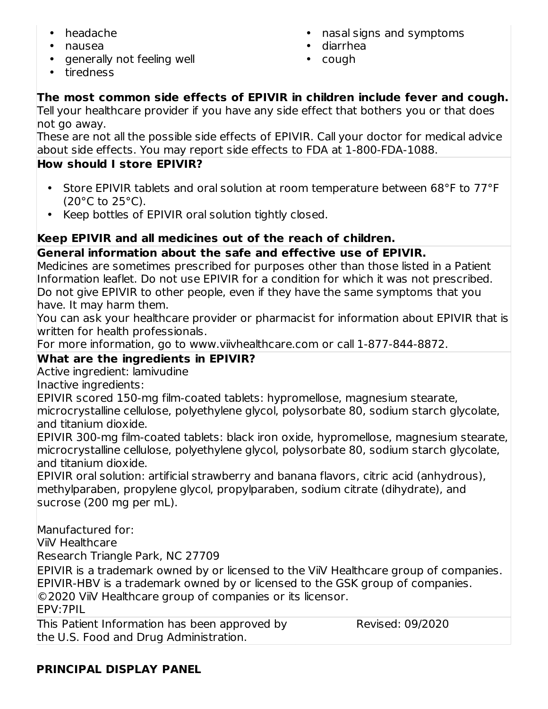- headache
- nausea
- generally not feeling well
- nasal signs and symptoms
- diarrhea
- cough

• tiredness

## **The most common side effects of EPIVIR in children include fever and cough.**

Tell your healthcare provider if you have any side effect that bothers you or that does not go away.

These are not all the possible side effects of EPIVIR. Call your doctor for medical advice about side effects. You may report side effects to FDA at 1-800-FDA-1088.

## **How should I store EPIVIR?**

- Store EPIVIR tablets and oral solution at room temperature between 68°F to 77°F  $(20^{\circ}$ C to  $25^{\circ}$ C).
- Keep bottles of EPIVIR oral solution tightly closed.

## **Keep EPIVIR and all medicines out of the reach of children.**

**General information about the safe and effective use of EPIVIR.**

Medicines are sometimes prescribed for purposes other than those listed in a Patient Information leaflet. Do not use EPIVIR for a condition for which it was not prescribed. Do not give EPIVIR to other people, even if they have the same symptoms that you have. It may harm them.

You can ask your healthcare provider or pharmacist for information about EPIVIR that is written for health professionals.

For more information, go to www.viivhealthcare.com or call 1-877-844-8872.

## **What are the ingredients in EPIVIR?**

Active ingredient: lamivudine

Inactive ingredients:

EPIVIR scored 150-mg film-coated tablets: hypromellose, magnesium stearate,

microcrystalline cellulose, polyethylene glycol, polysorbate 80, sodium starch glycolate, and titanium dioxide.

EPIVIR 300-mg film-coated tablets: black iron oxide, hypromellose, magnesium stearate, microcrystalline cellulose, polyethylene glycol, polysorbate 80, sodium starch glycolate, and titanium dioxide.

EPIVIR oral solution: artificial strawberry and banana flavors, citric acid (anhydrous), methylparaben, propylene glycol, propylparaben, sodium citrate (dihydrate), and sucrose (200 mg per mL).

Manufactured for:

ViiV Healthcare

Research Triangle Park, NC 27709

EPIVIR is a trademark owned by or licensed to the ViiV Healthcare group of companies. EPIVIR-HBV is a trademark owned by or licensed to the GSK group of companies. ©2020 ViiV Healthcare group of companies or its licensor. EPV:7PIL

This Patient Information has been approved by the U.S. Food and Drug Administration. Revised: 09/2020

## **PRINCIPAL DISPLAY PANEL**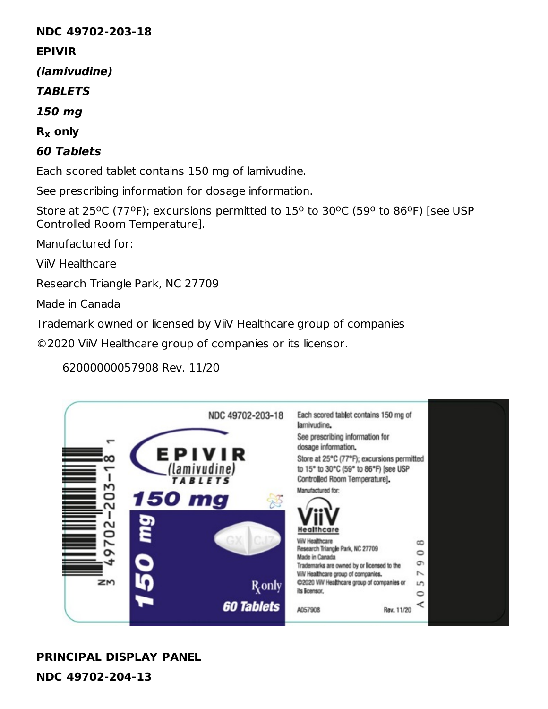#### **NDC 49702-203-18**

#### **EPIVIR**

**(lamivudine)**

**TABLETS**

**150 mg**

**R only x**

## **60 Tablets**

Each scored tablet contains 150 mg of lamivudine.

See prescribing information for dosage information.

Store at 25°C (77°F); excursions permitted to  $15^{\circ}$  to 30°C (59° to 86°F) [see USP Controlled Room Temperature].

Manufactured for:

ViiV Healthcare

Research Triangle Park, NC 27709

Made in Canada

Trademark owned or licensed by ViiV Healthcare group of companies

©2020 ViiV Healthcare group of companies or its licensor.

## 62000000057908 Rev. 11/20



# **PRINCIPAL DISPLAY PANEL**

**NDC 49702-204-13**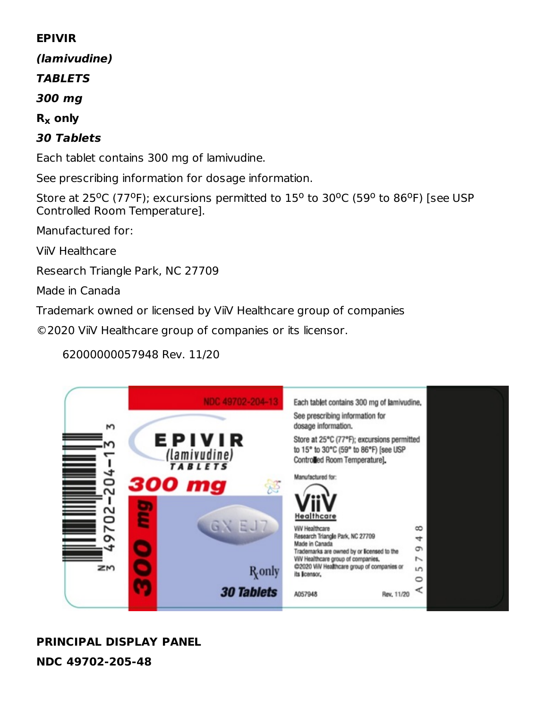#### **EPIVIR**

**(lamivudine)**

#### **TABLETS**

**300 mg**

## **R only x**

## **30 Tablets**

Each tablet contains 300 mg of lamivudine.

See prescribing information for dosage information.

Store at 25°C (77°F); excursions permitted to  $15^{\circ}$  to 30°C (59° to 86°F) [see USP Controlled Room Temperature].

Manufactured for:

ViiV Healthcare

Research Triangle Park, NC 27709

Made in Canada

Trademark owned or licensed by ViiV Healthcare group of companies

©2020 ViiV Healthcare group of companies or its licensor.

62000000057948 Rev. 11/20

| М                | NDC 49702-204-1                                                                         | Each tablet contains 300 mg of lamivudine.<br>See prescribing information for<br>dosage information.                                                                                                                              |                                                           |  |
|------------------|-----------------------------------------------------------------------------------------|-----------------------------------------------------------------------------------------------------------------------------------------------------------------------------------------------------------------------------------|-----------------------------------------------------------|--|
| 0<br>$\sim$<br>3 | EPIVIR<br>$\frac{(\text{laminudine})}{\text{rals} \text{lets}}$<br>300 mg<br>惑<br>GN EJ | Store at 25°C (77°F); excursions permitted<br>to 15° to 30°C (59° to 86°F) [see USP<br>Controlled Room Temperature].<br>Manufactured for:<br>Healthcare                                                                           |                                                           |  |
| Ľ<br>๛<br>zм     | <b>R</b> <sub>only</sub>                                                                | <b>ViiV Healthcare</b><br>Research Triangle Park, NC 27709<br>Made in Canada<br>Trademarks are owned by or licensed to the<br>VilV Healthcare group of companies,<br>@2020 VilV Healthcare group of companies or<br>its licensor. | $\infty$<br>ෑ<br>G<br>$\overline{\phantom{0}}$<br>LO<br>0 |  |
|                  | <b>30 Tablets</b>                                                                       | A057948<br>Rev. 11/20                                                                                                                                                                                                             |                                                           |  |

## **PRINCIPAL DISPLAY PANEL NDC 49702-205-48**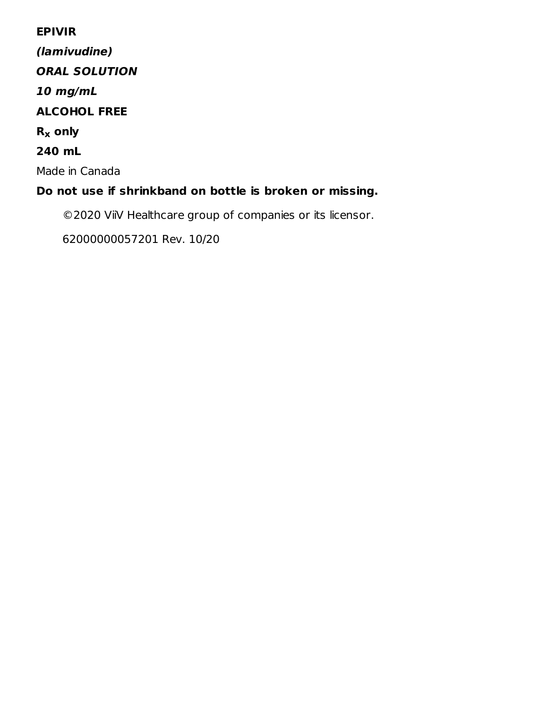#### **EPIVIR**

**(lamivudine) ORAL SOLUTION 10 mg/mL ALCOHOL FREE R only x 240 mL** Made in Canada **Do not use if shrinkband on bottle is broken or missing.**

©2020 ViiV Healthcare group of companies or its licensor.

62000000057201 Rev. 10/20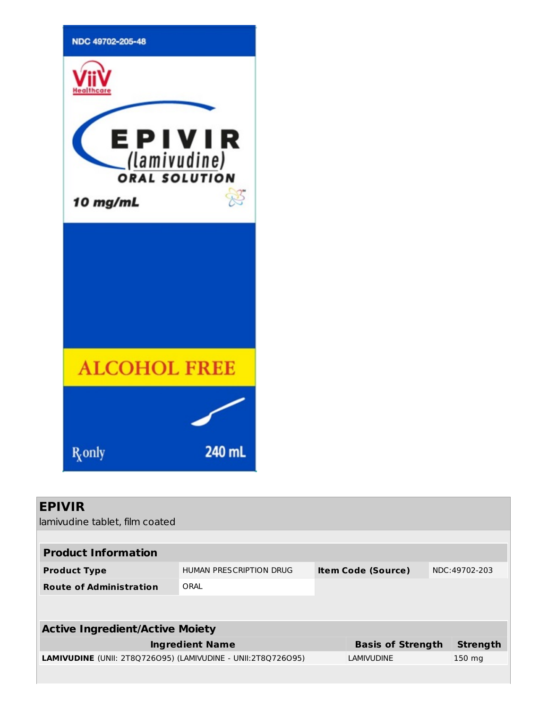

| <b>EPIVIR</b><br>lamivudine tablet, film coated                     |                         |                           |                  |
|---------------------------------------------------------------------|-------------------------|---------------------------|------------------|
|                                                                     |                         |                           |                  |
| <b>Product Information</b>                                          |                         |                           |                  |
| <b>Product Type</b>                                                 | HUMAN PRESCRIPTION DRUG | <b>Item Code (Source)</b> | NDC:49702-203    |
| <b>Route of Administration</b>                                      | ORAL                    |                           |                  |
|                                                                     |                         |                           |                  |
|                                                                     |                         |                           |                  |
| <b>Active Ingredient/Active Moiety</b>                              |                         |                           |                  |
|                                                                     | <b>Ingredient Name</b>  | <b>Basis of Strength</b>  | <b>Strength</b>  |
| <b>LAMIVUDINE</b> (UNII: 2T8Q726O95) (LAMIVUDINE - UNII:2T8Q726O95) |                         | <b>LAMIVUDINE</b>         | $150 \text{ mg}$ |
|                                                                     |                         |                           |                  |
|                                                                     |                         |                           |                  |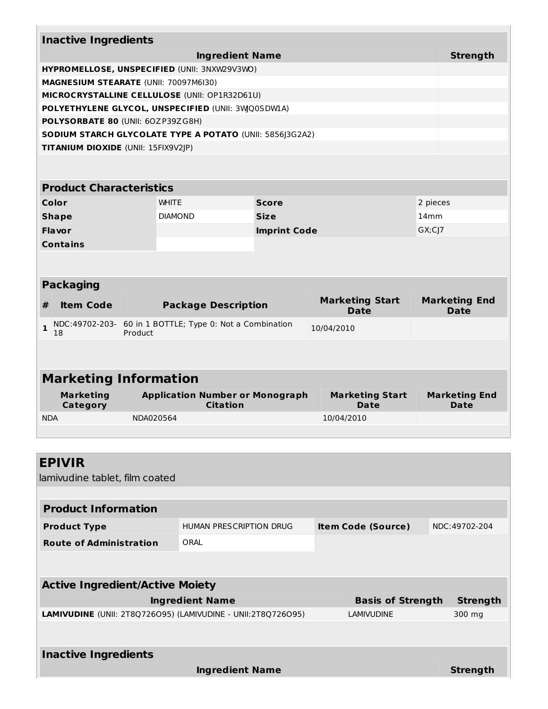| <b>Inactive Ingredients</b>                              |                                                           |                     |                                       |                                     |  |
|----------------------------------------------------------|-----------------------------------------------------------|---------------------|---------------------------------------|-------------------------------------|--|
|                                                          | <b>Ingredient Name</b>                                    |                     |                                       | <b>Strength</b>                     |  |
| HYPROMELLOSE, UNSPECIFIED (UNII: 3NXW29V3WO)             |                                                           |                     |                                       |                                     |  |
| MAGNESIUM STEARATE (UNII: 70097M6I30)                    |                                                           |                     |                                       |                                     |  |
| MICROCRYSTALLINE CELLULOSE (UNII: OP1R32D61U)            |                                                           |                     |                                       |                                     |  |
| POLYETHYLENE GLYCOL, UNSPECIFIED (UNII: 3WQ0SDWLA)       |                                                           |                     |                                       |                                     |  |
| POLYSORBATE 80 (UNII: 60ZP39ZG8H)                        |                                                           |                     |                                       |                                     |  |
| SODIUM STARCH GLYCOLATE TYPE A POTATO (UNII: 5856]3G2A2) |                                                           |                     |                                       |                                     |  |
| TITANIUM DIOXIDE (UNII: 15FIX9V2JP)                      |                                                           |                     |                                       |                                     |  |
|                                                          |                                                           |                     |                                       |                                     |  |
|                                                          |                                                           |                     |                                       |                                     |  |
| <b>Product Characteristics</b>                           |                                                           |                     |                                       |                                     |  |
| Color                                                    | <b>WHITE</b>                                              | <b>Score</b>        |                                       | 2 pieces                            |  |
| <b>Shape</b>                                             | <b>DIAMOND</b>                                            | <b>Size</b>         |                                       | 14mm                                |  |
| <b>Flavor</b>                                            |                                                           | <b>Imprint Code</b> |                                       | $GX; C$ ]7                          |  |
| <b>Contains</b>                                          |                                                           |                     |                                       |                                     |  |
|                                                          |                                                           |                     |                                       |                                     |  |
| <b>Packaging</b>                                         |                                                           |                     |                                       |                                     |  |
|                                                          |                                                           |                     |                                       |                                     |  |
| <b>Item Code</b><br>#                                    | <b>Package Description</b>                                |                     | <b>Marketing Start</b><br><b>Date</b> | <b>Marketing End</b><br><b>Date</b> |  |
| NDC:49702-203-<br>$\mathbf{1}$<br>18<br>Product          | 60 in 1 BOTTLE; Type 0: Not a Combination                 |                     | 10/04/2010                            |                                     |  |
|                                                          |                                                           |                     |                                       |                                     |  |
|                                                          |                                                           |                     |                                       |                                     |  |
| <b>Marketing Information</b>                             |                                                           |                     |                                       |                                     |  |
| <b>Marketing</b><br>Category                             | <b>Application Number or Monograph</b><br><b>Citation</b> |                     | <b>Marketing Start</b><br><b>Date</b> | <b>Marketing End</b><br><b>Date</b> |  |
| <b>NDA</b>                                               | NDA020564                                                 |                     | 10/04/2010                            |                                     |  |
|                                                          |                                                           |                     |                                       |                                     |  |
|                                                          |                                                           |                     |                                       |                                     |  |

| <b>EPIVIR</b>                                                       |                         |                           |                 |
|---------------------------------------------------------------------|-------------------------|---------------------------|-----------------|
| lamivudine tablet, film coated                                      |                         |                           |                 |
|                                                                     |                         |                           |                 |
| <b>Product Information</b>                                          |                         |                           |                 |
| <b>Product Type</b>                                                 | HUMAN PRESCRIPTION DRUG | <b>Item Code (Source)</b> | NDC:49702-204   |
| <b>Route of Administration</b>                                      | ORAL                    |                           |                 |
|                                                                     |                         |                           |                 |
|                                                                     |                         |                           |                 |
| <b>Active Ingredient/Active Moiety</b>                              |                         |                           |                 |
|                                                                     | <b>Ingredient Name</b>  | <b>Basis of Strength</b>  | <b>Strength</b> |
| <b>LAMIVUDINE</b> (UNII: 2T8Q726O95) (LAMIVUDINE - UNII:2T8Q726O95) |                         | <b>LAMIVUDINE</b>         | 300 mg          |
|                                                                     |                         |                           |                 |
| <b>Inactive Ingredients</b>                                         |                         |                           |                 |
|                                                                     | <b>Ingredient Name</b>  |                           | <b>Strength</b> |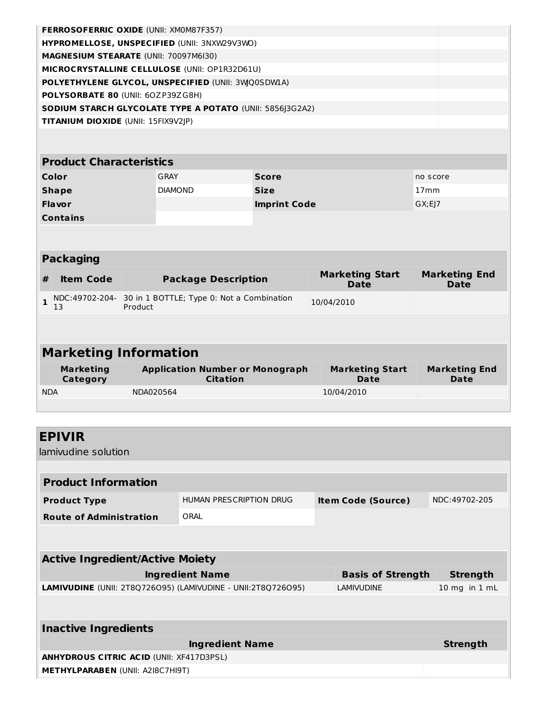|                                     | <b>FERROSOFERRIC OXIDE (UNII: XM0M87F357)</b>                       |                                                                          |                                       |                                     |
|-------------------------------------|---------------------------------------------------------------------|--------------------------------------------------------------------------|---------------------------------------|-------------------------------------|
|                                     | HYPROMELLOSE, UNSPECIFIED (UNII: 3NXW29V3WO)                        |                                                                          |                                       |                                     |
|                                     | MAGNESIUM STEARATE (UNII: 70097M6I30)                               |                                                                          |                                       |                                     |
|                                     | MICROCRYSTALLINE CELLULOSE (UNII: OP1R32D61U)                       |                                                                          |                                       |                                     |
|                                     | POLYETHYLENE GLYCOL, UNSPECIFIED (UNII: 3WQ0SDWIA)                  |                                                                          |                                       |                                     |
| POLYSORBATE 80 (UNII: 60ZP39ZG8H)   |                                                                     |                                                                          |                                       |                                     |
|                                     | SODIUM STARCH GLYCOLATE TYPE A POTATO (UNII: 5856 3G2A2)            |                                                                          |                                       |                                     |
| TITANIUM DIOXIDE (UNII: 15FIX9V2JP) |                                                                     |                                                                          |                                       |                                     |
|                                     |                                                                     |                                                                          |                                       |                                     |
| <b>Product Characteristics</b>      |                                                                     |                                                                          |                                       |                                     |
| Color                               | <b>GRAY</b>                                                         | <b>Score</b>                                                             |                                       | no score                            |
| <b>Shape</b>                        | <b>DIAMOND</b>                                                      | <b>Size</b>                                                              |                                       | 17 <sub>mm</sub>                    |
| Flavor                              |                                                                     | <b>Imprint Code</b>                                                      |                                       | GX; E]7                             |
| <b>Contains</b>                     |                                                                     |                                                                          |                                       |                                     |
|                                     |                                                                     |                                                                          |                                       |                                     |
|                                     |                                                                     |                                                                          |                                       |                                     |
| <b>Packaging</b>                    |                                                                     |                                                                          |                                       |                                     |
| <b>Item Code</b><br>#               | <b>Package Description</b>                                          |                                                                          | <b>Marketing Start</b><br><b>Date</b> | <b>Marketing End</b><br><b>Date</b> |
| $\mathbf{1}$<br>13                  | NDC:49702-204- 30 in 1 BOTTLE; Type 0: Not a Combination<br>Product |                                                                          | 10/04/2010                            |                                     |
|                                     |                                                                     |                                                                          |                                       |                                     |
|                                     |                                                                     |                                                                          |                                       |                                     |
| <b>Marketing Information</b>        |                                                                     |                                                                          |                                       |                                     |
| <b>Marketing</b><br>Category        | <b>Citation</b>                                                     | <b>Application Number or Monograph</b><br><b>Marketing Start</b><br>Date |                                       |                                     |
| <b>NDA</b>                          | NDA020564                                                           |                                                                          | 10/04/2010                            |                                     |
|                                     |                                                                     |                                                                          |                                       |                                     |
|                                     |                                                                     |                                                                          |                                       |                                     |
| <b>EPIVIR</b>                       |                                                                     |                                                                          |                                       |                                     |
| lamivudine solution                 |                                                                     |                                                                          |                                       |                                     |
|                                     |                                                                     |                                                                          |                                       |                                     |
| <b>Product Information</b>          |                                                                     |                                                                          |                                       |                                     |
|                                     |                                                                     |                                                                          |                                       |                                     |

| <b>Product Type</b>             | HUMAN PRESCRIPTION DRUG | <b>Item Code (Source)</b> | NDC:49702-205 |
|---------------------------------|-------------------------|---------------------------|---------------|
| <b>Route of Administration</b>  | ORAL                    |                           |               |
|                                 |                         |                           |               |
|                                 |                         |                           |               |
| Active Ingredient/Active Mojety |                         |                           |               |

| ACTIVE THULEDIE III/ACTIVE MORTY                                    |                          |                   |
|---------------------------------------------------------------------|--------------------------|-------------------|
| <b>Ingredient Name</b>                                              | <b>Basis of Strength</b> | Strength          |
| <b>LAMIVUDINE</b> (UNII: 2T8Q726O95) (LAMIVUDINE - UNII:2T8Q726O95) | LAMIVUDINE               | $10$ mg in $1$ mL |
|                                                                     |                          |                   |
|                                                                     |                          |                   |

| <b>Inactive Ingredients</b>                     |                 |
|-------------------------------------------------|-----------------|
| <b>Ingredient Name</b>                          | <b>Strength</b> |
| <b>ANHYDROUS CITRIC ACID (UNII: XF417D3PSL)</b> |                 |
| <b>METHYLPARABEN (UNII: A2I8C7HI9T)</b>         |                 |